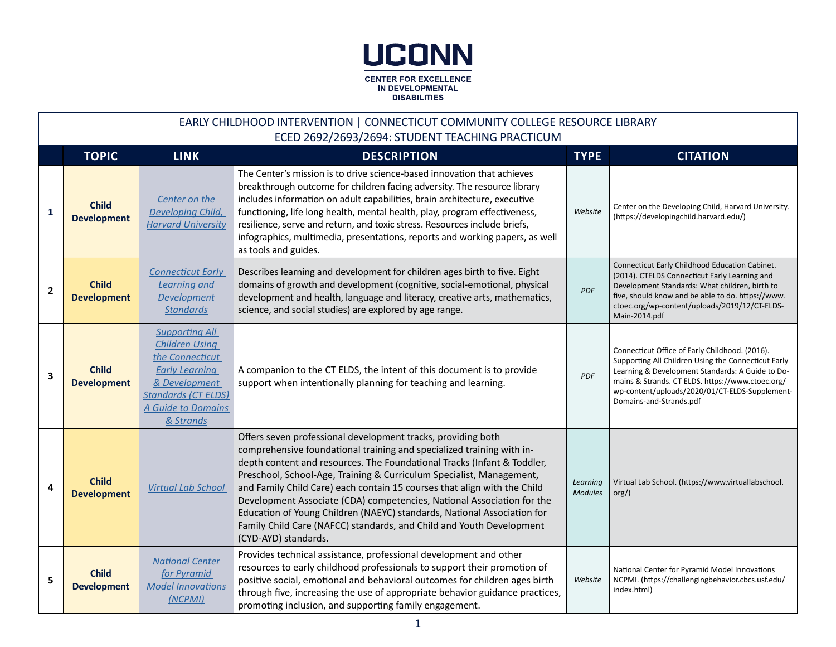

|              | EARLY CHILDHOOD INTERVENTION   CONNECTICUT COMMUNITY COLLEGE RESOURCE LIBRARY<br>ECED 2692/2693/2694: STUDENT TEACHING PRACTICUM |                                                                                                                                                                              |                                                                                                                                                                                                                                                                                                                                                                                                                                                                                                                                                                                                                           |                            |                                                                                                                                                                                                                                                                                            |  |  |  |
|--------------|----------------------------------------------------------------------------------------------------------------------------------|------------------------------------------------------------------------------------------------------------------------------------------------------------------------------|---------------------------------------------------------------------------------------------------------------------------------------------------------------------------------------------------------------------------------------------------------------------------------------------------------------------------------------------------------------------------------------------------------------------------------------------------------------------------------------------------------------------------------------------------------------------------------------------------------------------------|----------------------------|--------------------------------------------------------------------------------------------------------------------------------------------------------------------------------------------------------------------------------------------------------------------------------------------|--|--|--|
|              | <b>TOPIC</b>                                                                                                                     | <b>LINK</b>                                                                                                                                                                  | <b>DESCRIPTION</b>                                                                                                                                                                                                                                                                                                                                                                                                                                                                                                                                                                                                        | <b>TYPE</b>                | <b>CITATION</b>                                                                                                                                                                                                                                                                            |  |  |  |
| 1            | <b>Child</b><br><b>Development</b>                                                                                               | Center on the<br>Developing Child,<br><b>Harvard University</b>                                                                                                              | The Center's mission is to drive science-based innovation that achieves<br>breakthrough outcome for children facing adversity. The resource library<br>includes information on adult capabilities, brain architecture, executive<br>functioning, life long health, mental health, play, program effectiveness,<br>resilience, serve and return, and toxic stress. Resources include briefs,<br>infographics, multimedia, presentations, reports and working papers, as well<br>as tools and guides.                                                                                                                       | Website                    | Center on the Developing Child, Harvard University.<br>(https://developingchild.harvard.edu/)                                                                                                                                                                                              |  |  |  |
| $\mathbf{2}$ | <b>Child</b><br><b>Development</b>                                                                                               | <b>Connecticut Early</b><br>Learning and<br>Development<br><b>Standards</b>                                                                                                  | Describes learning and development for children ages birth to five. Eight<br>domains of growth and development (cognitive, social-emotional, physical<br>development and health, language and literacy, creative arts, mathematics,<br>science, and social studies) are explored by age range.                                                                                                                                                                                                                                                                                                                            | PDF                        | Connecticut Early Childhood Education Cabinet.<br>(2014). CTELDS Connecticut Early Learning and<br>Development Standards: What children, birth to<br>five, should know and be able to do. https://www.<br>ctoec.org/wp-content/uploads/2019/12/CT-ELDS-<br>Main-2014.pdf                   |  |  |  |
| 3            | <b>Child</b><br><b>Development</b>                                                                                               | <b>Supporting All</b><br><b>Children Using</b><br>the Connecticut<br><b>Early Learning</b><br>& Development<br><b>Standards (CT ELDS)</b><br>A Guide to Domains<br>& Strands | A companion to the CT ELDS, the intent of this document is to provide<br>support when intentionally planning for teaching and learning.                                                                                                                                                                                                                                                                                                                                                                                                                                                                                   | <b>PDF</b>                 | Connecticut Office of Early Childhood. (2016).<br>Supporting All Children Using the Connecticut Early<br>Learning & Development Standards: A Guide to Do-<br>mains & Strands. CT ELDS. https://www.ctoec.org/<br>wp-content/uploads/2020/01/CT-ELDS-Supplement-<br>Domains-and-Strands.pdf |  |  |  |
| 4            | <b>Child</b><br><b>Development</b>                                                                                               | <b>Virtual Lab School</b>                                                                                                                                                    | Offers seven professional development tracks, providing both<br>comprehensive foundational training and specialized training with in-<br>depth content and resources. The Foundational Tracks (Infant & Toddler,<br>Preschool, School-Age, Training & Curriculum Specialist, Management,<br>and Family Child Care) each contain 15 courses that align with the Child<br>Development Associate (CDA) competencies, National Association for the<br>Education of Young Children (NAEYC) standards, National Association for<br>Family Child Care (NAFCC) standards, and Child and Youth Development<br>(CYD-AYD) standards. | Learning<br><b>Modules</b> | Virtual Lab School. (https://www.virtuallabschool.<br>$org/$ )                                                                                                                                                                                                                             |  |  |  |
| 5            | <b>Child</b><br><b>Development</b>                                                                                               | <b>National Center</b><br>for Pyramid<br><b>Model Innovations</b><br>(NCPMI)                                                                                                 | Provides technical assistance, professional development and other<br>resources to early childhood professionals to support their promotion of<br>positive social, emotional and behavioral outcomes for children ages birth<br>through five, increasing the use of appropriate behavior guidance practices,<br>promoting inclusion, and supporting family engagement.                                                                                                                                                                                                                                                     | Website                    | National Center for Pyramid Model Innovations<br>NCPMI. (https://challengingbehavior.cbcs.usf.edu/<br>index.html)                                                                                                                                                                          |  |  |  |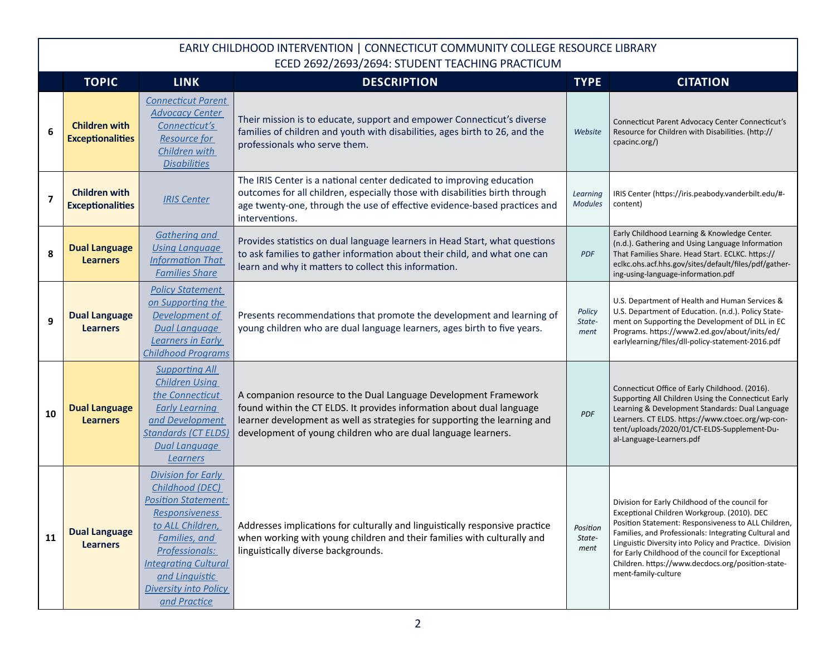|                         | <b>TOPIC</b>                                    | <b>LINK</b>                                                                                                                                                                                                                                                 | <b>DESCRIPTION</b>                                                                                                                                                                                                                                                                     | <b>TYPE</b>                | <b>CITATION</b>                                                                                                                                                                                                                                                                                                                                                                                             |
|-------------------------|-------------------------------------------------|-------------------------------------------------------------------------------------------------------------------------------------------------------------------------------------------------------------------------------------------------------------|----------------------------------------------------------------------------------------------------------------------------------------------------------------------------------------------------------------------------------------------------------------------------------------|----------------------------|-------------------------------------------------------------------------------------------------------------------------------------------------------------------------------------------------------------------------------------------------------------------------------------------------------------------------------------------------------------------------------------------------------------|
| 6                       | <b>Children with</b><br><b>Exceptionalities</b> | <b>Connecticut Parent</b><br><b>Advocacy Center</b><br>Connecticut's<br><b>Resource for</b><br>Children with<br><b>Disabilities</b>                                                                                                                         | Their mission is to educate, support and empower Connecticut's diverse<br>families of children and youth with disabilities, ages birth to 26, and the<br>professionals who serve them.                                                                                                 | Website                    | Connecticut Parent Advocacy Center Connecticut's<br>Resource for Children with Disabilities. (http://<br>cpacinc.org/)                                                                                                                                                                                                                                                                                      |
| $\overline{\mathbf{z}}$ | <b>Children with</b><br><b>Exceptionalities</b> | <b>IRIS Center</b>                                                                                                                                                                                                                                          | The IRIS Center is a national center dedicated to improving education<br>outcomes for all children, especially those with disabilities birth through<br>age twenty-one, through the use of effective evidence-based practices and<br>interventions.                                    | Learning<br><b>Modules</b> | IRIS Center (https://iris.peabody.vanderbilt.edu/#-<br>content)                                                                                                                                                                                                                                                                                                                                             |
| 8                       | <b>Dual Language</b><br><b>Learners</b>         | <b>Gathering and</b><br><b>Using Language</b><br><b>Information That</b><br><b>Families Share</b>                                                                                                                                                           | Provides statistics on dual language learners in Head Start, what questions<br>to ask families to gather information about their child, and what one can<br>learn and why it matters to collect this information.                                                                      | <b>PDF</b>                 | Early Childhood Learning & Knowledge Center.<br>(n.d.). Gathering and Using Language Information<br>That Families Share. Head Start. ECLKC. https://<br>eclkc.ohs.acf.hhs.gov/sites/default/files/pdf/gather-<br>ing-using-language-information.pdf                                                                                                                                                         |
| 9                       | <b>Dual Language</b><br><b>Learners</b>         | <b>Policy Statement</b><br>on Supporting the<br>Development of<br><b>Dual Language</b><br>Learners in Early<br><b>Childhood Programs</b>                                                                                                                    | Presents recommendations that promote the development and learning of<br>young children who are dual language learners, ages birth to five years.                                                                                                                                      | Policy<br>State-<br>ment   | U.S. Department of Health and Human Services &<br>U.S. Department of Education. (n.d.). Policy State-<br>ment on Supporting the Development of DLL in EC<br>Programs. https://www2.ed.gov/about/inits/ed/<br>earlylearning/files/dll-policy-statement-2016.pdf                                                                                                                                              |
| 10                      | <b>Dual Language</b><br><b>Learners</b>         | <b>Supporting All</b><br><b>Children Using</b><br>the Connecticut<br><b>Early Learning</b><br>and Development<br><b>Standards (CT ELDS)</b><br><b>Dual Language</b><br>Learners                                                                             | A companion resource to the Dual Language Development Framework<br>found within the CT ELDS. It provides information about dual language<br>learner development as well as strategies for supporting the learning and<br>development of young children who are dual language learners. | PDF                        | Connecticut Office of Early Childhood. (2016).<br>Supporting All Children Using the Connecticut Early<br>Learning & Development Standards: Dual Language<br>Learners. CT ELDS. https://www.ctoec.org/wp-con-<br>tent/uploads/2020/01/CT-ELDS-Supplement-Du-<br>al-Language-Learners.pdf                                                                                                                     |
| 11                      | <b>Dual Language</b><br><b>Learners</b>         | <b>Division for Early</b><br>Childhood (DEC)<br><b>Position Statement:</b><br><b>Responsiveness</b><br>to ALL Children,<br>Families, and<br>Professionals:<br><b>Integrating Cultural</b><br>and Linguistic<br><b>Diversity into Policy</b><br>and Practice | Addresses implications for culturally and linguistically responsive practice<br>when working with young children and their families with culturally and<br>linguistically diverse backgrounds.                                                                                         | Position<br>State-<br>ment | Division for Early Childhood of the council for<br>Exceptional Children Workgroup. (2010). DEC<br>Position Statement: Responsiveness to ALL Children,<br>Families, and Professionals: Integrating Cultural and<br>Linguistic Diversity into Policy and Practice. Division<br>for Early Childhood of the council for Exceptional<br>Children. https://www.decdocs.org/position-state-<br>ment-family-culture |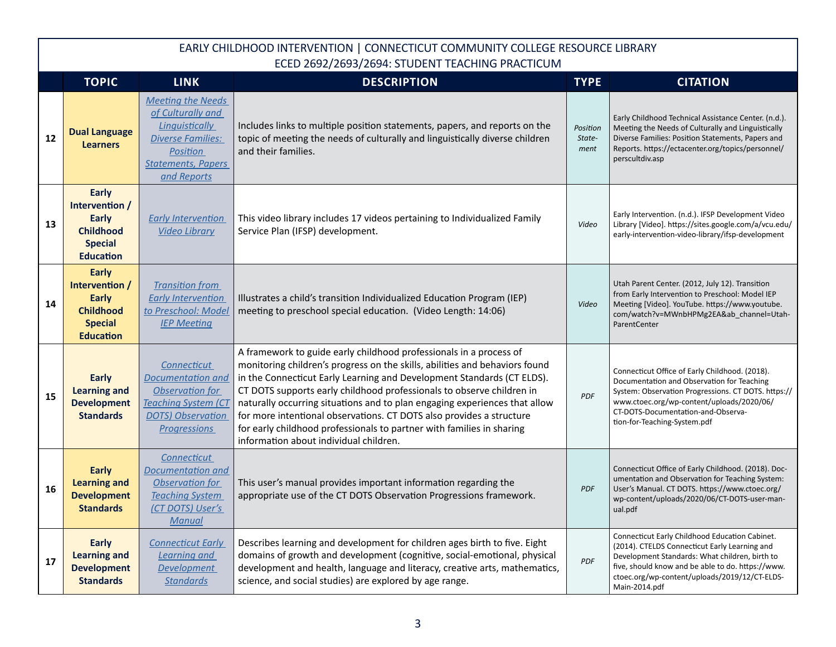|    | <b>TOPIC</b>                                                                                      | <b>LINK</b>                                                                                                                                         | <b>DESCRIPTION</b>                                                                                                                                                                                                                                                                                                                                                                                                                                                                                                                                                            | <b>TYPE</b>                | <b>CITATION</b>                                                                                                                                                                                                                                                          |
|----|---------------------------------------------------------------------------------------------------|-----------------------------------------------------------------------------------------------------------------------------------------------------|-------------------------------------------------------------------------------------------------------------------------------------------------------------------------------------------------------------------------------------------------------------------------------------------------------------------------------------------------------------------------------------------------------------------------------------------------------------------------------------------------------------------------------------------------------------------------------|----------------------------|--------------------------------------------------------------------------------------------------------------------------------------------------------------------------------------------------------------------------------------------------------------------------|
| 12 | <b>Dual Language</b><br><b>Learners</b>                                                           | <b>Meeting the Needs</b><br>of Culturally and<br>Linguistically<br><b>Diverse Families:</b><br>Position<br><b>Statements, Papers</b><br>and Reports | Includes links to multiple position statements, papers, and reports on the<br>topic of meeting the needs of culturally and linguistically diverse children<br>and their families.                                                                                                                                                                                                                                                                                                                                                                                             | Position<br>State-<br>ment | Early Childhood Technical Assistance Center. (n.d.).<br>Meeting the Needs of Culturally and Linguistically<br>Diverse Families: Position Statements, Papers and<br>Reports. https://ectacenter.org/topics/personnel/<br>perscultdiv.asp                                  |
| 13 | Early<br>Intervention /<br><b>Early</b><br><b>Childhood</b><br><b>Special</b><br><b>Education</b> | <b>Early Intervention</b><br><b>Video Library</b>                                                                                                   | This video library includes 17 videos pertaining to Individualized Family<br>Service Plan (IFSP) development.                                                                                                                                                                                                                                                                                                                                                                                                                                                                 | Video                      | Early Intervention. (n.d.). IFSP Development Video<br>Library [Video]. https://sites.google.com/a/vcu.edu/<br>early-intervention-video-library/ifsp-development                                                                                                          |
| 14 | <b>Early</b><br>Intervention /<br>Early<br><b>Childhood</b><br><b>Special</b><br><b>Education</b> | <b>Transition from</b><br><b>Early Intervention</b><br>to Preschool: Model<br><b>IEP Meeting</b>                                                    | Illustrates a child's transition Individualized Education Program (IEP)<br>meeting to preschool special education. (Video Length: 14:06)                                                                                                                                                                                                                                                                                                                                                                                                                                      | Video                      | Utah Parent Center. (2012, July 12). Transition<br>from Early Intervention to Preschool: Model IEP<br>Meeting [Video]. YouTube. https://www.youtube.<br>com/watch?v=MWnbHPMg2EA&ab_channel=Utah-<br>ParentCenter                                                         |
| 15 | Early<br><b>Learning and</b><br><b>Development</b><br><b>Standards</b>                            | Connecticut<br><b>Documentation and</b><br>Observation for<br><b>Teaching System (CT</b><br><b>DOTS</b> ) Observation<br><b>Progressions</b>        | A framework to guide early childhood professionals in a process of<br>monitoring children's progress on the skills, abilities and behaviors found<br>in the Connecticut Early Learning and Development Standards (CT ELDS).<br>CT DOTS supports early childhood professionals to observe children in<br>naturally occurring situations and to plan engaging experiences that allow<br>for more intentional observations. CT DOTS also provides a structure<br>for early childhood professionals to partner with families in sharing<br>information about individual children. | PDF                        | Connecticut Office of Early Childhood. (2018).<br>Documentation and Observation for Teaching<br>System: Observation Progressions. CT DOTS. https://<br>www.ctoec.org/wp-content/uploads/2020/06/<br>CT-DOTS-Documentation-and-Observa-<br>tion-for-Teaching-System.pdf   |
| 16 | <b>Early</b><br><b>Learning and</b><br><b>Development</b><br><b>Standards</b>                     | Connecticut<br>Documentation and<br>Observation for<br><b>Teaching System</b><br>(CT DOTS) User's<br><b>Manual</b>                                  | This user's manual provides important information regarding the<br>appropriate use of the CT DOTS Observation Progressions framework.                                                                                                                                                                                                                                                                                                                                                                                                                                         | <b>PDF</b>                 | Connecticut Office of Early Childhood. (2018). Doc-<br>umentation and Observation for Teaching System:<br>User's Manual. CT DOTS. https://www.ctoec.org/<br>wp-content/uploads/2020/06/CT-DOTS-user-man-<br>ual.pdf                                                      |
| 17 | <b>Early</b><br><b>Learning and</b><br><b>Development</b><br><b>Standards</b>                     | <b>Connecticut Early</b><br>Learning and<br><b>Development</b><br><b>Standards</b>                                                                  | Describes learning and development for children ages birth to five. Eight<br>domains of growth and development (cognitive, social-emotional, physical<br>development and health, language and literacy, creative arts, mathematics,<br>science, and social studies) are explored by age range.                                                                                                                                                                                                                                                                                | <b>PDF</b>                 | Connecticut Early Childhood Education Cabinet.<br>(2014). CTELDS Connecticut Early Learning and<br>Development Standards: What children, birth to<br>five, should know and be able to do. https://www.<br>ctoec.org/wp-content/uploads/2019/12/CT-ELDS-<br>Main-2014.pdf |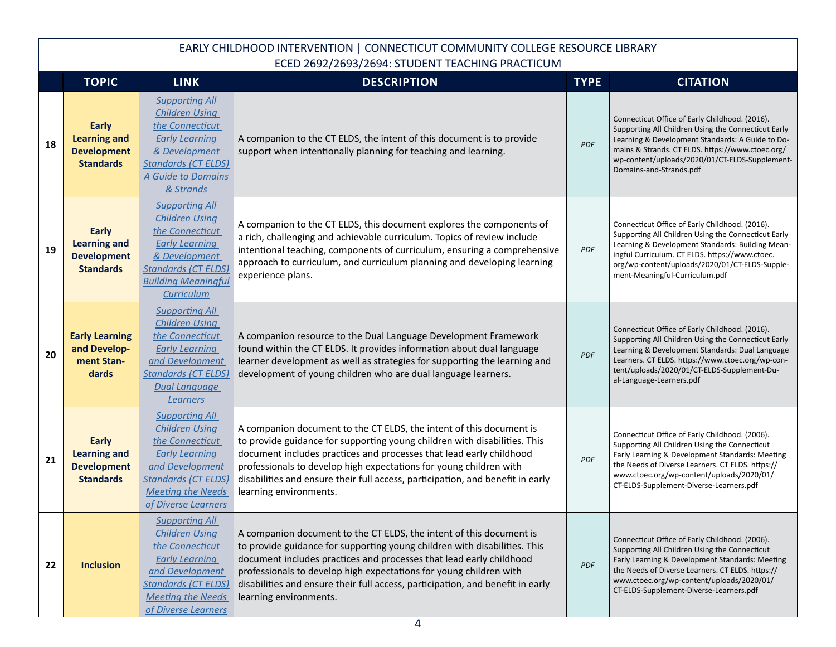|    | <b>TOPIC</b>                                                                  | <b>LINK</b>                                                                                                                                                                                    | <b>DESCRIPTION</b>                                                                                                                                                                                                                                                                                                                                                                                        | <b>TYPE</b> | <b>CITATION</b>                                                                                                                                                                                                                                                                                 |
|----|-------------------------------------------------------------------------------|------------------------------------------------------------------------------------------------------------------------------------------------------------------------------------------------|-----------------------------------------------------------------------------------------------------------------------------------------------------------------------------------------------------------------------------------------------------------------------------------------------------------------------------------------------------------------------------------------------------------|-------------|-------------------------------------------------------------------------------------------------------------------------------------------------------------------------------------------------------------------------------------------------------------------------------------------------|
| 18 | <b>Early</b><br><b>Learning and</b><br><b>Development</b><br><b>Standards</b> | <b>Supporting All</b><br><b>Children Using</b><br>the Connecticut<br><b>Early Learning</b><br>& Development<br><b>Standards (CT ELDS)</b><br>A Guide to Domains<br>& Strands                   | A companion to the CT ELDS, the intent of this document is to provide<br>support when intentionally planning for teaching and learning.                                                                                                                                                                                                                                                                   | PDF         | Connecticut Office of Early Childhood. (2016).<br>Supporting All Children Using the Connecticut Early<br>Learning & Development Standards: A Guide to Do-<br>mains & Strands. CT ELDS. https://www.ctoec.org/<br>wp-content/uploads/2020/01/CT-ELDS-Supplement-<br>Domains-and-Strands.pdf      |
| 19 | <b>Early</b><br><b>Learning and</b><br><b>Development</b><br><b>Standards</b> | <b>Supporting All</b><br><b>Children Using</b><br>the Connecticut<br><b>Early Learning</b><br>& Development<br><b>Standards (CT ELDS)</b><br><b>Building Meaningful</b><br><b>Curriculum</b>   | A companion to the CT ELDS, this document explores the components of<br>a rich, challenging and achievable curriculum. Topics of review include<br>intentional teaching, components of curriculum, ensuring a comprehensive<br>approach to curriculum, and curriculum planning and developing learning<br>experience plans.                                                                               | <b>PDF</b>  | Connecticut Office of Early Childhood. (2016).<br>Supporting All Children Using the Connecticut Early<br>Learning & Development Standards: Building Mean-<br>ingful Curriculum. CT ELDS. https://www.ctoec.<br>org/wp-content/uploads/2020/01/CT-ELDS-Supple-<br>ment-Meaningful-Curriculum.pdf |
| 20 | <b>Early Learning</b><br>and Develop-<br>ment Stan-<br>dards                  | <b>Supporting All</b><br><b>Children Using</b><br>the Connecticut<br><b>Early Learning</b><br>and Development<br><b>Standards (CT ELDS)</b><br><b>Dual Language</b><br>Learners                | A companion resource to the Dual Language Development Framework<br>found within the CT ELDS. It provides information about dual language<br>learner development as well as strategies for supporting the learning and<br>development of young children who are dual language learners.                                                                                                                    | <b>PDF</b>  | Connecticut Office of Early Childhood. (2016).<br>Supporting All Children Using the Connecticut Early<br>Learning & Development Standards: Dual Language<br>Learners. CT ELDS. https://www.ctoec.org/wp-con-<br>tent/uploads/2020/01/CT-ELDS-Supplement-Du-<br>al-Language-Learners.pdf         |
| 21 | <b>Early</b><br><b>Learning and</b><br><b>Development</b><br><b>Standards</b> | <b>Supporting All</b><br><b>Children Using</b><br>the Connecticut<br><b>Early Learning</b><br>and Development<br><b>Standards (CT ELDS)</b><br><b>Meeting the Needs</b><br>of Diverse Learners | A companion document to the CT ELDS, the intent of this document is<br>to provide guidance for supporting young children with disabilities. This<br>document includes practices and processes that lead early childhood<br>professionals to develop high expectations for young children with<br>disabilities and ensure their full access, participation, and benefit in early<br>learning environments. | <b>PDF</b>  | Connecticut Office of Early Childhood. (2006).<br>Supporting All Children Using the Connecticut<br>Early Learning & Development Standards: Meeting<br>the Needs of Diverse Learners. CT ELDS. https://<br>www.ctoec.org/wp-content/uploads/2020/01/<br>CT-ELDS-Supplement-Diverse-Learners.pdf  |
| 22 | <b>Inclusion</b>                                                              | <b>Supporting All</b><br><b>Children Using</b><br>the Connecticut<br><b>Early Learning</b><br>and Development<br><b>Standards (CT ELDS)</b><br><b>Meeting the Needs</b><br>of Diverse Learners | A companion document to the CT ELDS, the intent of this document is<br>to provide guidance for supporting young children with disabilities. This<br>document includes practices and processes that lead early childhood<br>professionals to develop high expectations for young children with<br>disabilities and ensure their full access, participation, and benefit in early<br>learning environments. | <b>PDF</b>  | Connecticut Office of Early Childhood. (2006).<br>Supporting All Children Using the Connecticut<br>Early Learning & Development Standards: Meeting<br>the Needs of Diverse Learners. CT ELDS. https://<br>www.ctoec.org/wp-content/uploads/2020/01/<br>CT-ELDS-Supplement-Diverse-Learners.pdf  |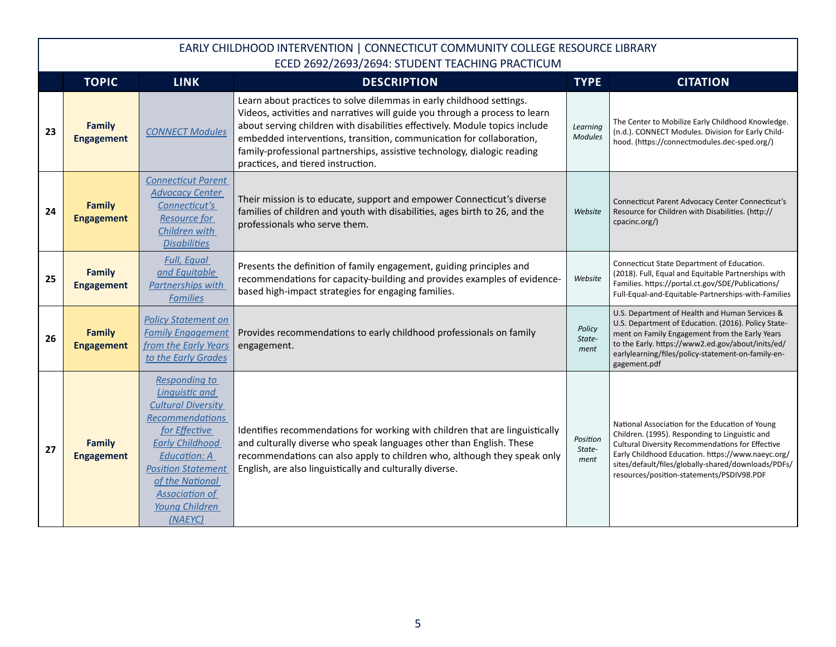|    | <b>TOPIC</b>                       | <b>LINK</b>                                                                                                                                                                                                                                                                  | <b>DESCRIPTION</b>                                                                                                                                                                                                                                                                                                                                                                                                           | <b>TYPE</b>                | <b>CITATION</b>                                                                                                                                                                                                                                                                                                |
|----|------------------------------------|------------------------------------------------------------------------------------------------------------------------------------------------------------------------------------------------------------------------------------------------------------------------------|------------------------------------------------------------------------------------------------------------------------------------------------------------------------------------------------------------------------------------------------------------------------------------------------------------------------------------------------------------------------------------------------------------------------------|----------------------------|----------------------------------------------------------------------------------------------------------------------------------------------------------------------------------------------------------------------------------------------------------------------------------------------------------------|
| 23 | <b>Family</b><br><b>Engagement</b> | <b>CONNECT Modules</b>                                                                                                                                                                                                                                                       | Learn about practices to solve dilemmas in early childhood settings.<br>Videos, activities and narratives will guide you through a process to learn<br>about serving children with disabilities effectively. Module topics include<br>embedded interventions, transition, communication for collaboration,<br>family-professional partnerships, assistive technology, dialogic reading<br>practices, and tiered instruction. | Learning<br><b>Modules</b> | The Center to Mobilize Early Childhood Knowledge.<br>(n.d.). CONNECT Modules. Division for Early Child-<br>hood. (https://connectmodules.dec-sped.org/)                                                                                                                                                        |
| 24 | <b>Family</b><br><b>Engagement</b> | <b>Connecticut Parent</b><br><b>Advocacy Center</b><br>Connecticut's<br><b>Resource for</b><br>Children with<br><b>Disabilities</b>                                                                                                                                          | Their mission is to educate, support and empower Connecticut's diverse<br>families of children and youth with disabilities, ages birth to 26, and the<br>professionals who serve them.                                                                                                                                                                                                                                       | Website                    | Connecticut Parent Advocacy Center Connecticut's<br>Resource for Children with Disabilities. (http://<br>cpacinc.org/)                                                                                                                                                                                         |
| 25 | <b>Family</b><br><b>Engagement</b> | <b>Full, Equal</b><br>and Equitable<br>Partnerships with<br><b>Families</b>                                                                                                                                                                                                  | Presents the definition of family engagement, guiding principles and<br>recommendations for capacity-building and provides examples of evidence-<br>based high-impact strategies for engaging families.                                                                                                                                                                                                                      | Website                    | Connecticut State Department of Education.<br>(2018). Full, Equal and Equitable Partnerships with<br>Families. https://portal.ct.gov/SDE/Publications/<br>Full-Equal-and-Equitable-Partnerships-with-Families                                                                                                  |
| 26 | <b>Family</b><br><b>Engagement</b> | <b>Policy Statement on</b><br><b>Family Engagement</b><br>from the Early Years<br>to the Early Grades                                                                                                                                                                        | Provides recommendations to early childhood professionals on family<br>engagement.                                                                                                                                                                                                                                                                                                                                           | Policy<br>State-<br>ment   | U.S. Department of Health and Human Services &<br>U.S. Department of Education. (2016). Policy State-<br>ment on Family Engagement from the Early Years<br>to the Early. https://www2.ed.gov/about/inits/ed/<br>earlylearning/files/policy-statement-on-family-en-<br>gagement.pdf                             |
| 27 | <b>Family</b><br><b>Engagement</b> | <b>Responding to</b><br>Linguistic and<br><b>Cultural Diversity</b><br><b>Recommendations</b><br>for Effective<br><b>Early Childhood</b><br><b>Education: A</b><br><b>Position Statement</b><br>of the National<br><b>Association of</b><br><b>Young Children</b><br>(NAFYC) | Identifies recommendations for working with children that are linguistically<br>and culturally diverse who speak languages other than English. These<br>recommendations can also apply to children who, although they speak only<br>English, are also linguistically and culturally diverse.                                                                                                                                 | Position<br>State-<br>ment | National Association for the Education of Young<br>Children. (1995). Responding to Linguistic and<br>Cultural Diversity Recommendations for Effective<br>Early Childhood Education. https://www.naeyc.org/<br>sites/default/files/globally-shared/downloads/PDFs/<br>resources/position-statements/PSDIV98.PDF |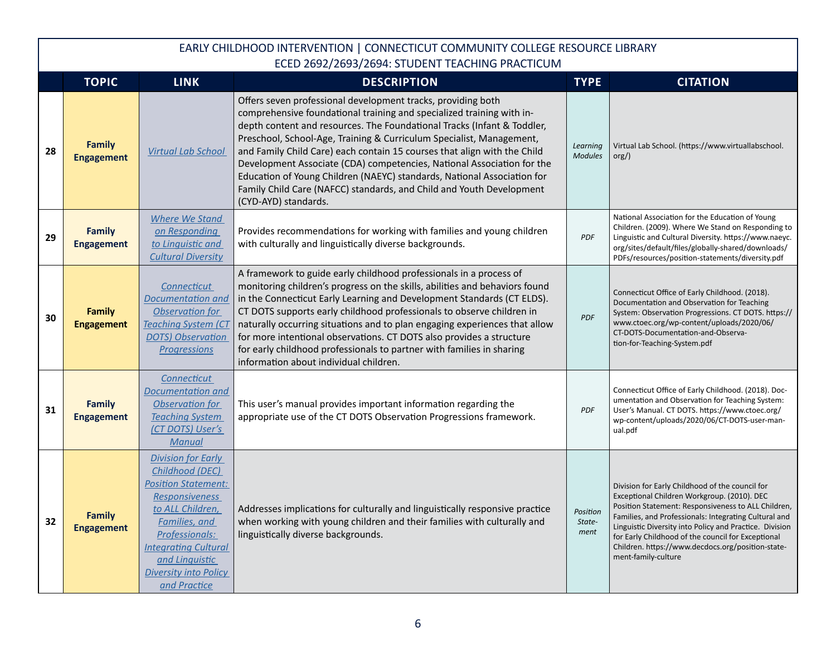|    | <b>TOPIC</b>                       | <b>LINK</b>                                                                                                                                                                                                                                          | <b>DESCRIPTION</b>                                                                                                                                                                                                                                                                                                                                                                                                                                                                                                                                                                                                        | <b>TYPE</b>                | <b>CITATION</b>                                                                                                                                                                                                                                                                                                                                                                                             |
|----|------------------------------------|------------------------------------------------------------------------------------------------------------------------------------------------------------------------------------------------------------------------------------------------------|---------------------------------------------------------------------------------------------------------------------------------------------------------------------------------------------------------------------------------------------------------------------------------------------------------------------------------------------------------------------------------------------------------------------------------------------------------------------------------------------------------------------------------------------------------------------------------------------------------------------------|----------------------------|-------------------------------------------------------------------------------------------------------------------------------------------------------------------------------------------------------------------------------------------------------------------------------------------------------------------------------------------------------------------------------------------------------------|
| 28 | <b>Family</b><br><b>Engagement</b> | <b>Virtual Lab School</b>                                                                                                                                                                                                                            | Offers seven professional development tracks, providing both<br>comprehensive foundational training and specialized training with in-<br>depth content and resources. The Foundational Tracks (Infant & Toddler,<br>Preschool, School-Age, Training & Curriculum Specialist, Management,<br>and Family Child Care) each contain 15 courses that align with the Child<br>Development Associate (CDA) competencies, National Association for the<br>Education of Young Children (NAEYC) standards, National Association for<br>Family Child Care (NAFCC) standards, and Child and Youth Development<br>(CYD-AYD) standards. | Learning<br><b>Modules</b> | Virtual Lab School. (https://www.virtuallabschool.<br>org()                                                                                                                                                                                                                                                                                                                                                 |
| 29 | <b>Family</b><br><b>Engagement</b> | <b>Where We Stand</b><br>on Responding<br>to Linquistic and<br><b>Cultural Diversity</b>                                                                                                                                                             | Provides recommendations for working with families and young children<br>with culturally and linguistically diverse backgrounds.                                                                                                                                                                                                                                                                                                                                                                                                                                                                                          | <b>PDF</b>                 | National Association for the Education of Young<br>Children. (2009). Where We Stand on Responding to<br>Linguistic and Cultural Diversity. https://www.naeyc.<br>org/sites/default/files/globally-shared/downloads/<br>PDFs/resources/position-statements/diversity.pdf                                                                                                                                     |
| 30 | <b>Family</b><br><b>Engagement</b> | <b>Connecticut</b><br><b>Documentation and</b><br>Observation for<br><b>Teaching System (CT</b><br><b>DOTS</b> ) Observation<br><b>Progressions</b>                                                                                                  | A framework to guide early childhood professionals in a process of<br>monitoring children's progress on the skills, abilities and behaviors found<br>in the Connecticut Early Learning and Development Standards (CT ELDS).<br>CT DOTS supports early childhood professionals to observe children in<br>naturally occurring situations and to plan engaging experiences that allow<br>for more intentional observations. CT DOTS also provides a structure<br>for early childhood professionals to partner with families in sharing<br>information about individual children.                                             | PDF                        | Connecticut Office of Early Childhood. (2018).<br>Documentation and Observation for Teaching<br>System: Observation Progressions. CT DOTS. https://<br>www.ctoec.org/wp-content/uploads/2020/06/<br>CT-DOTS-Documentation-and-Observa-<br>tion-for-Teaching-System.pdf                                                                                                                                      |
| 31 | <b>Family</b><br><b>Engagement</b> | Connecticut<br>Documentation and<br>Observation for<br><b>Teaching System</b><br>(CT DOTS) User's<br><b>Manual</b>                                                                                                                                   | This user's manual provides important information regarding the<br>appropriate use of the CT DOTS Observation Progressions framework.                                                                                                                                                                                                                                                                                                                                                                                                                                                                                     | <b>PDF</b>                 | Connecticut Office of Early Childhood. (2018). Doc-<br>umentation and Observation for Teaching System:<br>User's Manual. CT DOTS. https://www.ctoec.org/<br>wp-content/uploads/2020/06/CT-DOTS-user-man-<br>ual.pdf                                                                                                                                                                                         |
| 32 | <b>Family</b><br><b>Engagement</b> | Division for Early<br>Childhood (DEC)<br><b>Position Statement:</b><br><b>Responsiveness</b><br>to ALL Children,<br>Families, and<br>Professionals:<br><b>Integrating Cultural</b><br>and Linquistic<br><b>Diversity into Policy</b><br>and Practice | Addresses implications for culturally and linguistically responsive practice<br>when working with young children and their families with culturally and<br>linguistically diverse backgrounds.                                                                                                                                                                                                                                                                                                                                                                                                                            | Position<br>State-<br>ment | Division for Early Childhood of the council for<br>Exceptional Children Workgroup. (2010). DEC<br>Position Statement: Responsiveness to ALL Children,<br>Families, and Professionals: Integrating Cultural and<br>Linguistic Diversity into Policy and Practice. Division<br>for Early Childhood of the council for Exceptional<br>Children. https://www.decdocs.org/position-state-<br>ment-family-culture |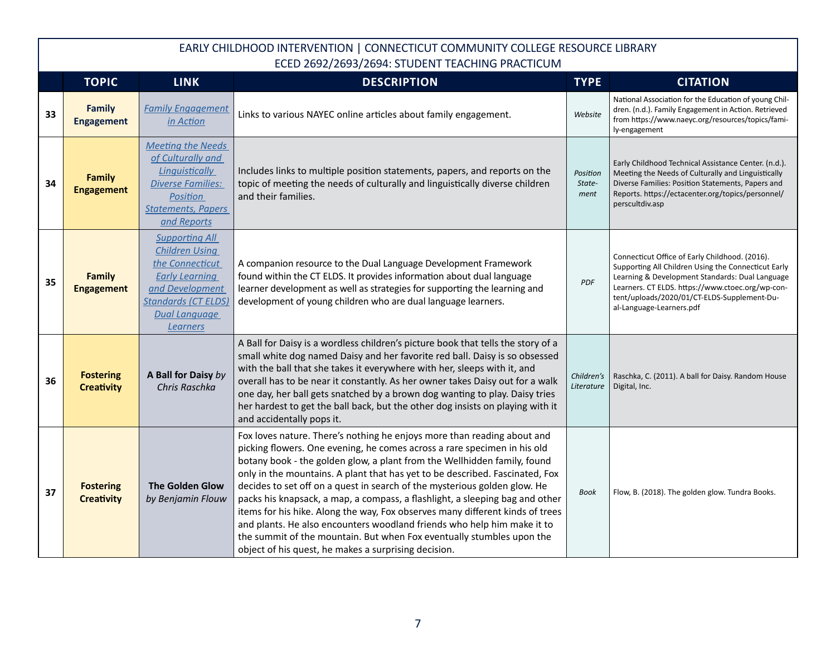|    | <b>TOPIC</b>                          | <b>LINK</b>                                                                                                                                                                            | <b>DESCRIPTION</b>                                                                                                                                                                                                                                                                                                                                                                                                                                                                                                                                                                                                                                                                                                                                                        | <b>TYPE</b>                | <b>CITATION</b>                                                                                                                                                                                                                                                                         |
|----|---------------------------------------|----------------------------------------------------------------------------------------------------------------------------------------------------------------------------------------|---------------------------------------------------------------------------------------------------------------------------------------------------------------------------------------------------------------------------------------------------------------------------------------------------------------------------------------------------------------------------------------------------------------------------------------------------------------------------------------------------------------------------------------------------------------------------------------------------------------------------------------------------------------------------------------------------------------------------------------------------------------------------|----------------------------|-----------------------------------------------------------------------------------------------------------------------------------------------------------------------------------------------------------------------------------------------------------------------------------------|
| 33 | <b>Family</b><br><b>Engagement</b>    | <b>Family Engagement</b><br>in Action                                                                                                                                                  | Links to various NAYEC online articles about family engagement.                                                                                                                                                                                                                                                                                                                                                                                                                                                                                                                                                                                                                                                                                                           | Website                    | National Association for the Education of young Chil-<br>dren. (n.d.). Family Engagement in Action. Retrieved<br>from https://www.naeyc.org/resources/topics/fami-<br>ly-engagement                                                                                                     |
| 34 | <b>Family</b><br><b>Engagement</b>    | <b>Meeting the Needs</b><br>of Culturally and<br><b>Linguistically</b><br><b>Diverse Families:</b><br>Position<br><b>Statements, Papers</b><br>and Reports                             | Includes links to multiple position statements, papers, and reports on the<br>topic of meeting the needs of culturally and linguistically diverse children<br>and their families.                                                                                                                                                                                                                                                                                                                                                                                                                                                                                                                                                                                         | Position<br>State-<br>ment | Early Childhood Technical Assistance Center. (n.d.).<br>Meeting the Needs of Culturally and Linguistically<br>Diverse Families: Position Statements, Papers and<br>Reports. https://ectacenter.org/topics/personnel/<br>perscultdiv.asp                                                 |
| 35 | <b>Family</b><br><b>Engagement</b>    | <b>Supporting All</b><br><b>Children Using</b><br>the Connecticut<br><b>Early Learning</b><br>and Development<br><b>Standards (CT ELDS)</b><br><b>Dual Language</b><br><b>Learners</b> | A companion resource to the Dual Language Development Framework<br>found within the CT ELDS. It provides information about dual language<br>learner development as well as strategies for supporting the learning and<br>development of young children who are dual language learners.                                                                                                                                                                                                                                                                                                                                                                                                                                                                                    | <b>PDF</b>                 | Connecticut Office of Early Childhood. (2016).<br>Supporting All Children Using the Connecticut Early<br>Learning & Development Standards: Dual Language<br>Learners. CT ELDS. https://www.ctoec.org/wp-con-<br>tent/uploads/2020/01/CT-ELDS-Supplement-Du-<br>al-Language-Learners.pdf |
| 36 | <b>Fostering</b><br><b>Creativity</b> | A Ball for Daisy by<br>Chris Raschka                                                                                                                                                   | A Ball for Daisy is a wordless children's picture book that tells the story of a<br>small white dog named Daisy and her favorite red ball. Daisy is so obsessed<br>with the ball that she takes it everywhere with her, sleeps with it, and<br>overall has to be near it constantly. As her owner takes Daisy out for a walk<br>one day, her ball gets snatched by a brown dog wanting to play. Daisy tries<br>her hardest to get the ball back, but the other dog insists on playing with it<br>and accidentally pops it.                                                                                                                                                                                                                                                | Children's<br>Literature   | Raschka, C. (2011). A ball for Daisy. Random House<br>Digital, Inc.                                                                                                                                                                                                                     |
| 37 | <b>Fostering</b><br><b>Creativity</b> | <b>The Golden Glow</b><br>by Benjamin Flouw                                                                                                                                            | Fox loves nature. There's nothing he enjoys more than reading about and<br>picking flowers. One evening, he comes across a rare specimen in his old<br>botany book - the golden glow, a plant from the Wellhidden family, found<br>only in the mountains. A plant that has yet to be described. Fascinated, Fox<br>decides to set off on a quest in search of the mysterious golden glow. He<br>packs his knapsack, a map, a compass, a flashlight, a sleeping bag and other<br>items for his hike. Along the way, Fox observes many different kinds of trees<br>and plants. He also encounters woodland friends who help him make it to<br>the summit of the mountain. But when Fox eventually stumbles upon the<br>object of his quest, he makes a surprising decision. | <b>Book</b>                | Flow, B. (2018). The golden glow. Tundra Books.                                                                                                                                                                                                                                         |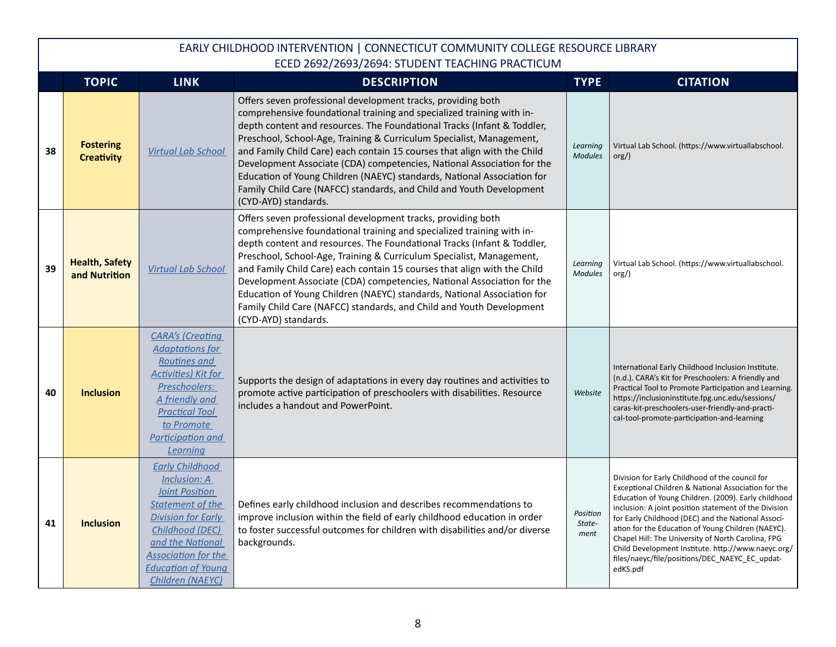|    | <b>TOPIC</b>                           | <b>LINK</b>                                                                                                                                                                                                                                          | <b>DESCRIPTION</b>                                                                                                                                                                                                                                                                                                                                                                                                                                                                                                                                                                                                        | <b>TYPE</b>                | <b>CITATION</b>                                                                                                                                                                                                                                                                                                                                                                                                                                                                                               |
|----|----------------------------------------|------------------------------------------------------------------------------------------------------------------------------------------------------------------------------------------------------------------------------------------------------|---------------------------------------------------------------------------------------------------------------------------------------------------------------------------------------------------------------------------------------------------------------------------------------------------------------------------------------------------------------------------------------------------------------------------------------------------------------------------------------------------------------------------------------------------------------------------------------------------------------------------|----------------------------|---------------------------------------------------------------------------------------------------------------------------------------------------------------------------------------------------------------------------------------------------------------------------------------------------------------------------------------------------------------------------------------------------------------------------------------------------------------------------------------------------------------|
| 38 | <b>Fostering</b><br><b>Creativity</b>  | <b>Virtual Lab School</b>                                                                                                                                                                                                                            | Offers seven professional development tracks, providing both<br>comprehensive foundational training and specialized training with in-<br>depth content and resources. The Foundational Tracks (Infant & Toddler,<br>Preschool, School-Age, Training & Curriculum Specialist, Management,<br>and Family Child Care) each contain 15 courses that align with the Child<br>Development Associate (CDA) competencies, National Association for the<br>Education of Young Children (NAEYC) standards, National Association for<br>Family Child Care (NAFCC) standards, and Child and Youth Development<br>(CYD-AYD) standards. | Learning<br><b>Modules</b> | Virtual Lab School. (https://www.virtuallabschool.<br>$\text{org/}$                                                                                                                                                                                                                                                                                                                                                                                                                                           |
| 39 | <b>Health, Safety</b><br>and Nutrition | <b>Virtual Lab School</b>                                                                                                                                                                                                                            | Offers seven professional development tracks, providing both<br>comprehensive foundational training and specialized training with in-<br>depth content and resources. The Foundational Tracks (Infant & Toddler,<br>Preschool, School-Age, Training & Curriculum Specialist, Management,<br>and Family Child Care) each contain 15 courses that align with the Child<br>Development Associate (CDA) competencies, National Association for the<br>Education of Young Children (NAEYC) standards, National Association for<br>Family Child Care (NAFCC) standards, and Child and Youth Development<br>(CYD-AYD) standards. | Learning<br><b>Modules</b> | Virtual Lab School. (https://www.virtuallabschool.<br>org()                                                                                                                                                                                                                                                                                                                                                                                                                                                   |
| 40 | <b>Inclusion</b>                       | <b>CARA's (Creating</b><br><b>Adaptations for</b><br>Routines and<br><b>Activities) Kit for</b><br>Preschoolers:<br>A friendly and<br><b>Practical Tool</b><br>to Promote<br>Participation and<br>Learning                                           | Supports the design of adaptations in every day routines and activities to<br>promote active participation of preschoolers with disabilities. Resource<br>includes a handout and PowerPoint.                                                                                                                                                                                                                                                                                                                                                                                                                              | Website                    | International Early Childhood Inclusion Institute.<br>(n.d.). CARA's Kit for Preschoolers: A friendly and<br>Practical Tool to Promote Participation and Learning.<br>https://inclusioninstitute.fpg.unc.edu/sessions/<br>caras-kit-preschoolers-user-friendly-and-practi-<br>cal-tool-promote-participation-and-learning                                                                                                                                                                                     |
| 41 | <b>Inclusion</b>                       | <b>Early Childhood</b><br><b>Inclusion: A</b><br><b>Joint Position</b><br><b>Statement of the</b><br><b>Division for Early</b><br>Childhood (DEC)<br>and the National<br><b>Association for the</b><br><b>Education of Young</b><br>Children (NAEYC) | Defines early childhood inclusion and describes recommendations to<br>improve inclusion within the field of early childhood education in order<br>to foster successful outcomes for children with disabilities and/or diverse<br>backgrounds.                                                                                                                                                                                                                                                                                                                                                                             | Position<br>State-<br>ment | Division for Early Childhood of the council for<br>Exceptional Children & National Association for the<br>Education of Young Children. (2009). Early childhood<br>inclusion: A joint position statement of the Division<br>for Early Childhood (DEC) and the National Associ-<br>ation for the Education of Young Children (NAEYC).<br>Chapel Hill: The University of North Carolina, FPG<br>Child Development Institute. http://www.naeyc.org/<br>files/naeyc/file/positions/DEC NAEYC EC updat-<br>edKS.pdf |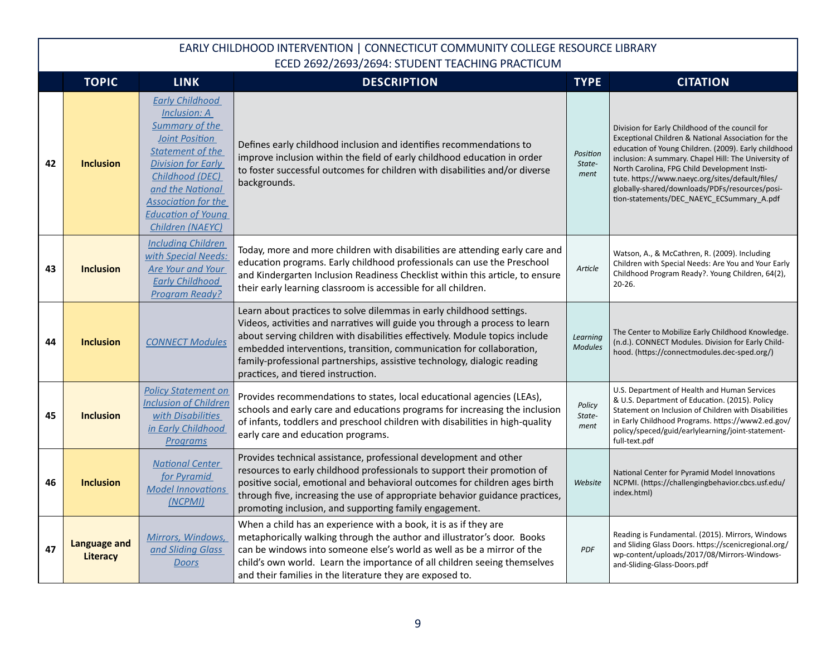|    | <b>TOPIC</b>                           | <b>LINK</b>                                                                                                                                                                                                                                                                   | <b>DESCRIPTION</b>                                                                                                                                                                                                                                                                                                                                                                                                           | <b>TYPE</b>                | <b>CITATION</b>                                                                                                                                                                                                                                                                                                                                                                                                           |
|----|----------------------------------------|-------------------------------------------------------------------------------------------------------------------------------------------------------------------------------------------------------------------------------------------------------------------------------|------------------------------------------------------------------------------------------------------------------------------------------------------------------------------------------------------------------------------------------------------------------------------------------------------------------------------------------------------------------------------------------------------------------------------|----------------------------|---------------------------------------------------------------------------------------------------------------------------------------------------------------------------------------------------------------------------------------------------------------------------------------------------------------------------------------------------------------------------------------------------------------------------|
| 42 | <b>Inclusion</b>                       | <b>Early Childhood</b><br><b>Inclusion: A</b><br><b>Summary of the</b><br><b>Joint Position</b><br><b>Statement of the</b><br><b>Division for Early</b><br>Childhood (DEC)<br>and the National<br><b>Association for the</b><br><b>Education of Young</b><br>Children (NAEYC) | Defines early childhood inclusion and identifies recommendations to<br>improve inclusion within the field of early childhood education in order<br>to foster successful outcomes for children with disabilities and/or diverse<br>backgrounds.                                                                                                                                                                               | Position<br>State-<br>ment | Division for Early Childhood of the council for<br>Exceptional Children & National Association for the<br>education of Young Children. (2009). Early childhood<br>inclusion: A summary. Chapel Hill: The University of<br>North Carolina, FPG Child Development Insti-<br>tute. https://www.naeyc.org/sites/default/files/<br>globally-shared/downloads/PDFs/resources/posi-<br>tion-statements/DEC_NAEYC_ECSummary_A.pdf |
| 43 | <b>Inclusion</b>                       | <b>Including Children</b><br>with Special Needs:<br>Are Your and Your<br><b>Early Childhood</b><br><b>Program Ready?</b>                                                                                                                                                      | Today, more and more children with disabilities are attending early care and<br>education programs. Early childhood professionals can use the Preschool<br>and Kindergarten Inclusion Readiness Checklist within this article, to ensure<br>their early learning classroom is accessible for all children.                                                                                                                   | Article                    | Watson, A., & McCathren, R. (2009). Including<br>Children with Special Needs: Are You and Your Early<br>Childhood Program Ready?. Young Children, 64(2),<br>$20 - 26.$                                                                                                                                                                                                                                                    |
| 44 | <b>Inclusion</b>                       | <b>CONNECT Modules</b>                                                                                                                                                                                                                                                        | Learn about practices to solve dilemmas in early childhood settings.<br>Videos, activities and narratives will guide you through a process to learn<br>about serving children with disabilities effectively. Module topics include<br>embedded interventions, transition, communication for collaboration,<br>family-professional partnerships, assistive technology, dialogic reading<br>practices, and tiered instruction. | Learning<br><b>Modules</b> | The Center to Mobilize Early Childhood Knowledge.<br>(n.d.). CONNECT Modules. Division for Early Child-<br>hood. (https://connectmodules.dec-sped.org/)                                                                                                                                                                                                                                                                   |
| 45 | <b>Inclusion</b>                       | <b>Policy Statement on</b><br><b>Inclusion of Children</b><br>with Disabilities<br>in Early Childhood<br>Programs                                                                                                                                                             | Provides recommendations to states, local educational agencies (LEAs),<br>schools and early care and educations programs for increasing the inclusion<br>of infants, toddlers and preschool children with disabilities in high-quality<br>early care and education programs.                                                                                                                                                 | Policy<br>State-<br>ment   | U.S. Department of Health and Human Services<br>& U.S. Department of Education. (2015). Policy<br>Statement on Inclusion of Children with Disabilities<br>in Early Childhood Programs. https://www2.ed.gov/<br>policy/speced/guid/earlylearning/joint-statement-<br>full-text.pdf                                                                                                                                         |
| 46 | <b>Inclusion</b>                       | <b>National Center</b><br>for Pyramid<br><b>Model Innovations</b><br>(NCPMI)                                                                                                                                                                                                  | Provides technical assistance, professional development and other<br>resources to early childhood professionals to support their promotion of<br>positive social, emotional and behavioral outcomes for children ages birth<br>through five, increasing the use of appropriate behavior guidance practices,<br>promoting inclusion, and supporting family engagement.                                                        | Website                    | National Center for Pyramid Model Innovations<br>NCPMI. (https://challengingbehavior.cbcs.usf.edu/<br>index.html)                                                                                                                                                                                                                                                                                                         |
| 47 | <b>Language and</b><br><b>Literacy</b> | Mirrors, Windows,<br>and Sliding Glass<br><b>Doors</b>                                                                                                                                                                                                                        | When a child has an experience with a book, it is as if they are<br>metaphorically walking through the author and illustrator's door. Books<br>can be windows into someone else's world as well as be a mirror of the<br>child's own world. Learn the importance of all children seeing themselves<br>and their families in the literature they are exposed to.                                                              | <b>PDF</b>                 | Reading is Fundamental. (2015). Mirrors, Windows<br>and Sliding Glass Doors. https://scenicregional.org/<br>wp-content/uploads/2017/08/Mirrors-Windows-<br>and-Sliding-Glass-Doors.pdf                                                                                                                                                                                                                                    |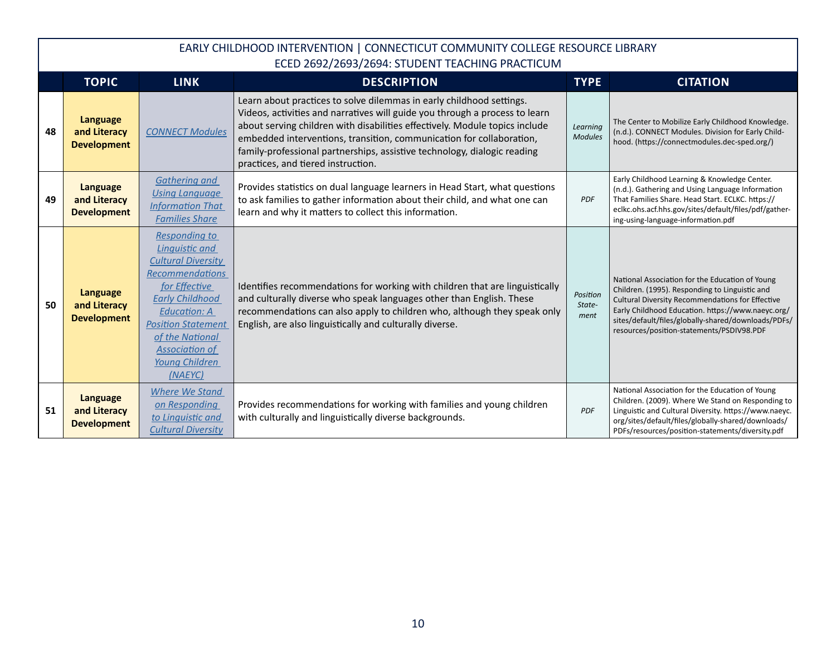|    | <b>TOPIC</b>                                          | <b>LINK</b>                                                                                                                                                                                                                                                           | <b>DESCRIPTION</b>                                                                                                                                                                                                                                                                                                                                                                                                           | <b>TYPE</b>                | <b>CITATION</b>                                                                                                                                                                                                                                                                                                |
|----|-------------------------------------------------------|-----------------------------------------------------------------------------------------------------------------------------------------------------------------------------------------------------------------------------------------------------------------------|------------------------------------------------------------------------------------------------------------------------------------------------------------------------------------------------------------------------------------------------------------------------------------------------------------------------------------------------------------------------------------------------------------------------------|----------------------------|----------------------------------------------------------------------------------------------------------------------------------------------------------------------------------------------------------------------------------------------------------------------------------------------------------------|
| 48 | <b>Language</b><br>and Literacy<br><b>Development</b> | <b>CONNECT Modules</b>                                                                                                                                                                                                                                                | Learn about practices to solve dilemmas in early childhood settings.<br>Videos, activities and narratives will guide you through a process to learn<br>about serving children with disabilities effectively. Module topics include<br>embedded interventions, transition, communication for collaboration,<br>family-professional partnerships, assistive technology, dialogic reading<br>practices, and tiered instruction. | Learning<br><b>Modules</b> | The Center to Mobilize Early Childhood Knowledge.<br>(n.d.). CONNECT Modules. Division for Early Child-<br>hood. (https://connectmodules.dec-sped.org/)                                                                                                                                                        |
| 49 | <b>Language</b><br>and Literacy<br><b>Development</b> | <b>Gathering and</b><br><b>Using Language</b><br><b>Information That</b><br><b>Families Share</b>                                                                                                                                                                     | Provides statistics on dual language learners in Head Start, what questions<br>to ask families to gather information about their child, and what one can<br>learn and why it matters to collect this information.                                                                                                                                                                                                            | <b>PDF</b>                 | Early Childhood Learning & Knowledge Center.<br>(n.d.). Gathering and Using Language Information<br>That Families Share. Head Start. ECLKC. https://<br>eclkc.ohs.acf.hhs.gov/sites/default/files/pdf/gather-<br>ing-using-language-information.pdf                                                            |
| 50 | <b>Language</b><br>and Literacy<br><b>Development</b> | <b>Responding to</b><br>Linguistic and<br><b>Cultural Diversity</b><br><b>Recommendations</b><br>for Effective<br><b>Early Childhood</b><br><b>Education: A</b><br><b>Position Statement</b><br>of the National<br><b>Association of</b><br>Young Children<br>(NAEYC) | Identifies recommendations for working with children that are linguistically<br>and culturally diverse who speak languages other than English. These<br>recommendations can also apply to children who, although they speak only<br>English, are also linguistically and culturally diverse.                                                                                                                                 | Position<br>State-<br>ment | National Association for the Education of Young<br>Children. (1995). Responding to Linguistic and<br>Cultural Diversity Recommendations for Effective<br>Early Childhood Education. https://www.naeyc.org/<br>sites/default/files/globally-shared/downloads/PDFs/<br>resources/position-statements/PSDIV98.PDF |
| 51 | Language<br>and Literacy<br><b>Development</b>        | <b>Where We Stand</b><br>on Responding<br>to Linguistic and<br><b>Cultural Diversity</b>                                                                                                                                                                              | Provides recommendations for working with families and young children<br>with culturally and linguistically diverse backgrounds.                                                                                                                                                                                                                                                                                             | <b>PDF</b>                 | National Association for the Education of Young<br>Children. (2009). Where We Stand on Responding to<br>Linguistic and Cultural Diversity. https://www.naeyc.<br>org/sites/default/files/globally-shared/downloads/<br>PDFs/resources/position-statements/diversity.pdf                                        |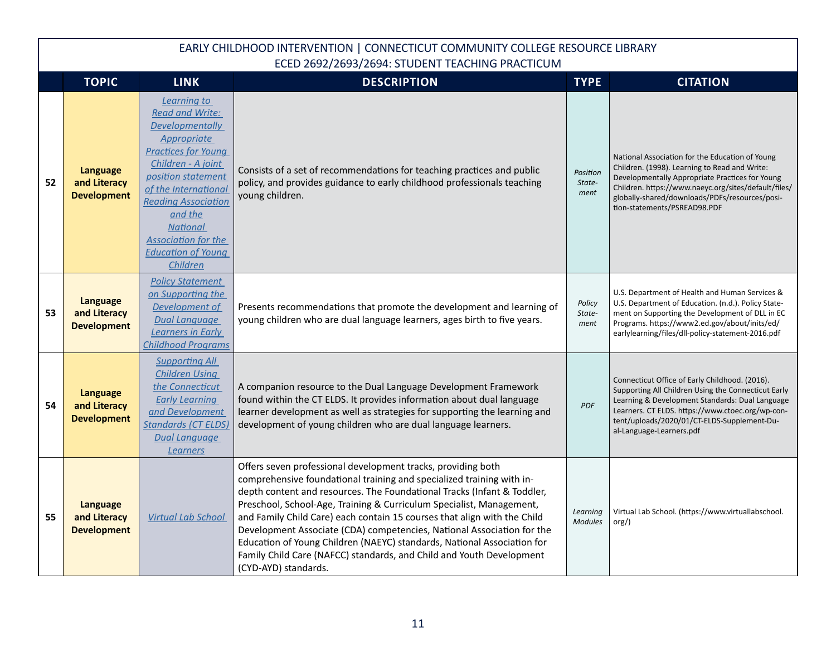|    | <b>TOPIC</b>                                          | <b>LINK</b>                                                                                                                                                                                                                                                                                                         | <b>DESCRIPTION</b>                                                                                                                                                                                                                                                                                                                                                                                                                                                                                                                                                                                                        | <b>TYPE</b>                | <b>CITATION</b>                                                                                                                                                                                                                                                                               |
|----|-------------------------------------------------------|---------------------------------------------------------------------------------------------------------------------------------------------------------------------------------------------------------------------------------------------------------------------------------------------------------------------|---------------------------------------------------------------------------------------------------------------------------------------------------------------------------------------------------------------------------------------------------------------------------------------------------------------------------------------------------------------------------------------------------------------------------------------------------------------------------------------------------------------------------------------------------------------------------------------------------------------------------|----------------------------|-----------------------------------------------------------------------------------------------------------------------------------------------------------------------------------------------------------------------------------------------------------------------------------------------|
| 52 | <b>Language</b><br>and Literacy<br><b>Development</b> | Learning to<br><b>Read and Write:</b><br>Developmentally<br><b>Appropriate</b><br><b>Practices for Young</b><br>Children - A joint<br>position statement<br>of the International<br><b>Reading Association</b><br>and the<br><b>National</b><br><b>Association for the</b><br><b>Education of Young</b><br>Children | Consists of a set of recommendations for teaching practices and public<br>policy, and provides guidance to early childhood professionals teaching<br>young children.                                                                                                                                                                                                                                                                                                                                                                                                                                                      | Position<br>State-<br>ment | National Association for the Education of Young<br>Children. (1998). Learning to Read and Write:<br>Developmentally Appropriate Practices for Young<br>Children. https://www.naeyc.org/sites/default/files/<br>globally-shared/downloads/PDFs/resources/posi-<br>tion-statements/PSREAD98.PDF |
| 53 | <b>Language</b><br>and Literacy<br><b>Development</b> | <b>Policy Statement</b><br>on Supporting the<br>Development of<br><b>Dual Language</b><br>Learners in Early<br><b>Childhood Programs</b>                                                                                                                                                                            | Presents recommendations that promote the development and learning of<br>young children who are dual language learners, ages birth to five years.                                                                                                                                                                                                                                                                                                                                                                                                                                                                         | Policy<br>State-<br>ment   | U.S. Department of Health and Human Services &<br>U.S. Department of Education. (n.d.). Policy State-<br>ment on Supporting the Development of DLL in EC<br>Programs. https://www2.ed.gov/about/inits/ed/<br>earlylearning/files/dll-policy-statement-2016.pdf                                |
| 54 | <b>Language</b><br>and Literacy<br><b>Development</b> | <b>Supporting All</b><br><b>Children Using</b><br>the Connecticut<br><b>Early Learning</b><br>and Development<br><b>Standards (CT ELDS)</b><br><b>Dual Language</b><br>Learners                                                                                                                                     | A companion resource to the Dual Language Development Framework<br>found within the CT ELDS. It provides information about dual language<br>learner development as well as strategies for supporting the learning and<br>development of young children who are dual language learners.                                                                                                                                                                                                                                                                                                                                    | <b>PDF</b>                 | Connecticut Office of Early Childhood. (2016).<br>Supporting All Children Using the Connecticut Early<br>Learning & Development Standards: Dual Language<br>Learners. CT ELDS. https://www.ctoec.org/wp-con-<br>tent/uploads/2020/01/CT-ELDS-Supplement-Du-<br>al-Language-Learners.pdf       |
| 55 | <b>Language</b><br>and Literacy<br><b>Development</b> | <b>Virtual Lab School</b>                                                                                                                                                                                                                                                                                           | Offers seven professional development tracks, providing both<br>comprehensive foundational training and specialized training with in-<br>depth content and resources. The Foundational Tracks (Infant & Toddler,<br>Preschool, School-Age, Training & Curriculum Specialist, Management,<br>and Family Child Care) each contain 15 courses that align with the Child<br>Development Associate (CDA) competencies, National Association for the<br>Education of Young Children (NAEYC) standards, National Association for<br>Family Child Care (NAFCC) standards, and Child and Youth Development<br>(CYD-AYD) standards. | Learning<br><b>Modules</b> | Virtual Lab School. (https://www.virtuallabschool.<br>org()                                                                                                                                                                                                                                   |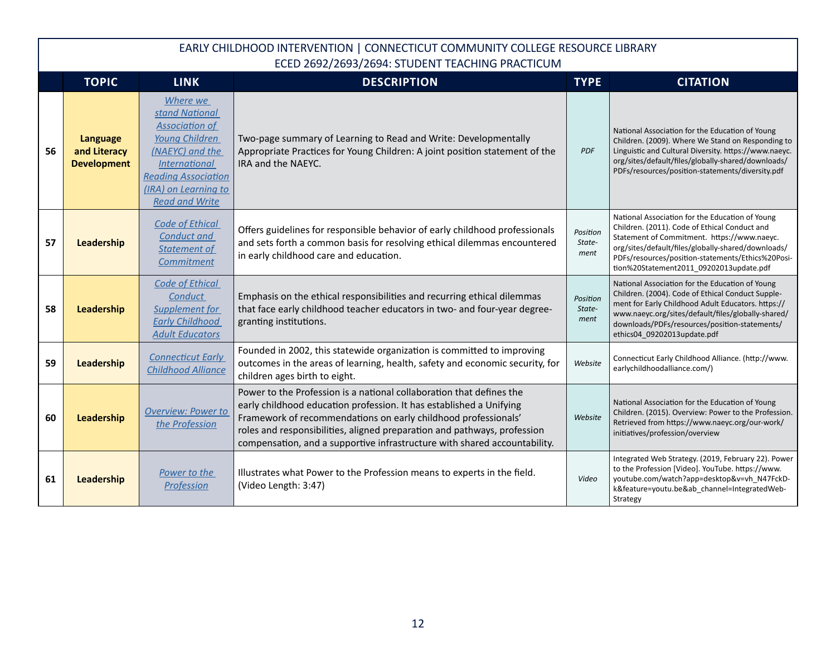|    | <b>TOPIC</b>                                   | <b>LINK</b>                                                                                                                                                                                     | <b>DESCRIPTION</b>                                                                                                                                                                                                                                                                                                                                                     | <b>TYPE</b>                | <b>CITATION</b>                                                                                                                                                                                                                                                                                       |
|----|------------------------------------------------|-------------------------------------------------------------------------------------------------------------------------------------------------------------------------------------------------|------------------------------------------------------------------------------------------------------------------------------------------------------------------------------------------------------------------------------------------------------------------------------------------------------------------------------------------------------------------------|----------------------------|-------------------------------------------------------------------------------------------------------------------------------------------------------------------------------------------------------------------------------------------------------------------------------------------------------|
| 56 | Language<br>and Literacy<br><b>Development</b> | Where we<br>stand National<br><b>Association of</b><br>Young Children<br>(NAEYC) and the<br><i>International</i><br><b>Reading Association</b><br>(IRA) on Learning to<br><b>Read and Write</b> | Two-page summary of Learning to Read and Write: Developmentally<br>Appropriate Practices for Young Children: A joint position statement of the<br>IRA and the NAEYC.                                                                                                                                                                                                   | <b>PDF</b>                 | National Association for the Education of Young<br>Children. (2009). Where We Stand on Responding to<br>Linguistic and Cultural Diversity. https://www.naeyc.<br>org/sites/default/files/globally-shared/downloads/<br>PDFs/resources/position-statements/diversity.pdf                               |
| 57 | Leadership                                     | <b>Code of Ethical</b><br><b>Conduct and</b><br>Statement of<br>Commitment                                                                                                                      | Offers guidelines for responsible behavior of early childhood professionals<br>and sets forth a common basis for resolving ethical dilemmas encountered<br>in early childhood care and education.                                                                                                                                                                      | Position<br>State-<br>ment | National Association for the Education of Young<br>Children. (2011). Code of Ethical Conduct and<br>Statement of Commitment. https://www.naeyc.<br>org/sites/default/files/globally-shared/downloads/<br>PDFs/resources/position-statements/Ethics%20Posi-<br>tion%20Statement2011_09202013update.pdf |
| 58 | Leadership                                     | <b>Code of Ethical</b><br>Conduct<br><b>Supplement for</b><br><b>Early Childhood</b><br><b>Adult Educators</b>                                                                                  | Emphasis on the ethical responsibilities and recurring ethical dilemmas<br>that face early childhood teacher educators in two- and four-year degree-<br>granting institutions.                                                                                                                                                                                         | Position<br>State-<br>ment | National Association for the Education of Young<br>Children. (2004). Code of Ethical Conduct Supple-<br>ment for Early Childhood Adult Educators. https://<br>www.naeyc.org/sites/default/files/globally-shared/<br>downloads/PDFs/resources/position-statements/<br>ethics04 09202013update.pdf      |
| 59 | Leadership                                     | <b>Connecticut Early</b><br><b>Childhood Alliance</b>                                                                                                                                           | Founded in 2002, this statewide organization is committed to improving<br>outcomes in the areas of learning, health, safety and economic security, for<br>children ages birth to eight.                                                                                                                                                                                | Website                    | Connecticut Early Childhood Alliance. (http://www.<br>earlychildhoodalliance.com/)                                                                                                                                                                                                                    |
| 60 | Leadership                                     | <b>Overview: Power to</b><br>the Profession                                                                                                                                                     | Power to the Profession is a national collaboration that defines the<br>early childhood education profession. It has established a Unifying<br>Framework of recommendations on early childhood professionals'<br>roles and responsibilities, aligned preparation and pathways, profession<br>compensation, and a supportive infrastructure with shared accountability. | Website                    | National Association for the Education of Young<br>Children. (2015). Overview: Power to the Profession.<br>Retrieved from https://www.naeyc.org/our-work/<br>initiatives/profession/overview                                                                                                          |
| 61 | Leadership                                     | Power to the<br>Profession                                                                                                                                                                      | Illustrates what Power to the Profession means to experts in the field.<br>(Video Length: 3:47)                                                                                                                                                                                                                                                                        | Video                      | Integrated Web Strategy. (2019, February 22). Power<br>to the Profession [Video]. YouTube. https://www.<br>youtube.com/watch?app=desktop&v=vh_N47FckD-<br>k&feature=youtu.be&ab channel=IntegratedWeb-<br>Strategy                                                                                    |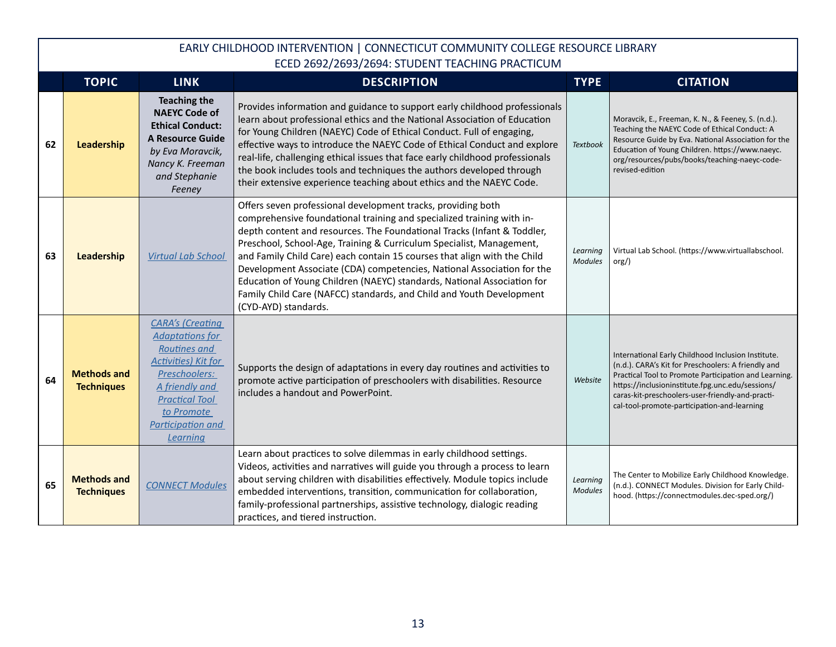|    | <b>TOPIC</b>                            | <b>LINK</b>                                                                                                                                                                                                | <b>DESCRIPTION</b>                                                                                                                                                                                                                                                                                                                                                                                                                                                                                                                                                                                                        | <b>TYPE</b>                | <b>CITATION</b>                                                                                                                                                                                                                                                                                                           |
|----|-----------------------------------------|------------------------------------------------------------------------------------------------------------------------------------------------------------------------------------------------------------|---------------------------------------------------------------------------------------------------------------------------------------------------------------------------------------------------------------------------------------------------------------------------------------------------------------------------------------------------------------------------------------------------------------------------------------------------------------------------------------------------------------------------------------------------------------------------------------------------------------------------|----------------------------|---------------------------------------------------------------------------------------------------------------------------------------------------------------------------------------------------------------------------------------------------------------------------------------------------------------------------|
| 62 | Leadership                              | <b>Teaching the</b><br><b>NAEYC Code of</b><br><b>Ethical Conduct:</b><br><b>A Resource Guide</b><br>by Eva Moravcik,<br>Nancy K. Freeman<br>and Stephanie<br>Feeney                                       | Provides information and guidance to support early childhood professionals<br>learn about professional ethics and the National Association of Education<br>for Young Children (NAEYC) Code of Ethical Conduct. Full of engaging,<br>effective ways to introduce the NAEYC Code of Ethical Conduct and explore<br>real-life, challenging ethical issues that face early childhood professionals<br>the book includes tools and techniques the authors developed through<br>their extensive experience teaching about ethics and the NAEYC Code.                                                                            | <b>Textbook</b>            | Moravcik, E., Freeman, K. N., & Feeney, S. (n.d.).<br>Teaching the NAEYC Code of Ethical Conduct: A<br>Resource Guide by Eva. National Association for the<br>Education of Young Children. https://www.naeyc.<br>org/resources/pubs/books/teaching-naeyc-code-<br>revised-edition                                         |
| 63 | Leadership                              | <b>Virtual Lab School</b>                                                                                                                                                                                  | Offers seven professional development tracks, providing both<br>comprehensive foundational training and specialized training with in-<br>depth content and resources. The Foundational Tracks (Infant & Toddler,<br>Preschool, School-Age, Training & Curriculum Specialist, Management,<br>and Family Child Care) each contain 15 courses that align with the Child<br>Development Associate (CDA) competencies, National Association for the<br>Education of Young Children (NAEYC) standards, National Association for<br>Family Child Care (NAFCC) standards, and Child and Youth Development<br>(CYD-AYD) standards. | Learning<br><b>Modules</b> | Virtual Lab School. (https://www.virtuallabschool.<br>$\text{org}/$ )                                                                                                                                                                                                                                                     |
| 64 | <b>Methods and</b><br><b>Techniques</b> | <b>CARA's (Creating</b><br><b>Adaptations for</b><br>Routines and<br><b>Activities) Kit for</b><br>Preschoolers:<br>A friendly and<br><b>Practical Tool</b><br>to Promote<br>Participation and<br>Learning | Supports the design of adaptations in every day routines and activities to<br>promote active participation of preschoolers with disabilities. Resource<br>includes a handout and PowerPoint.                                                                                                                                                                                                                                                                                                                                                                                                                              | Website                    | International Early Childhood Inclusion Institute.<br>(n.d.). CARA's Kit for Preschoolers: A friendly and<br>Practical Tool to Promote Participation and Learning.<br>https://inclusioninstitute.fpg.unc.edu/sessions/<br>caras-kit-preschoolers-user-friendly-and-practi-<br>cal-tool-promote-participation-and-learning |
| 65 | <b>Methods and</b><br><b>Techniques</b> | <b>CONNECT Modules</b>                                                                                                                                                                                     | Learn about practices to solve dilemmas in early childhood settings.<br>Videos, activities and narratives will guide you through a process to learn<br>about serving children with disabilities effectively. Module topics include<br>embedded interventions, transition, communication for collaboration,<br>family-professional partnerships, assistive technology, dialogic reading<br>practices, and tiered instruction.                                                                                                                                                                                              | Learning<br><b>Modules</b> | The Center to Mobilize Early Childhood Knowledge.<br>(n.d.). CONNECT Modules. Division for Early Child-<br>hood. (https://connectmodules.dec-sped.org/)                                                                                                                                                                   |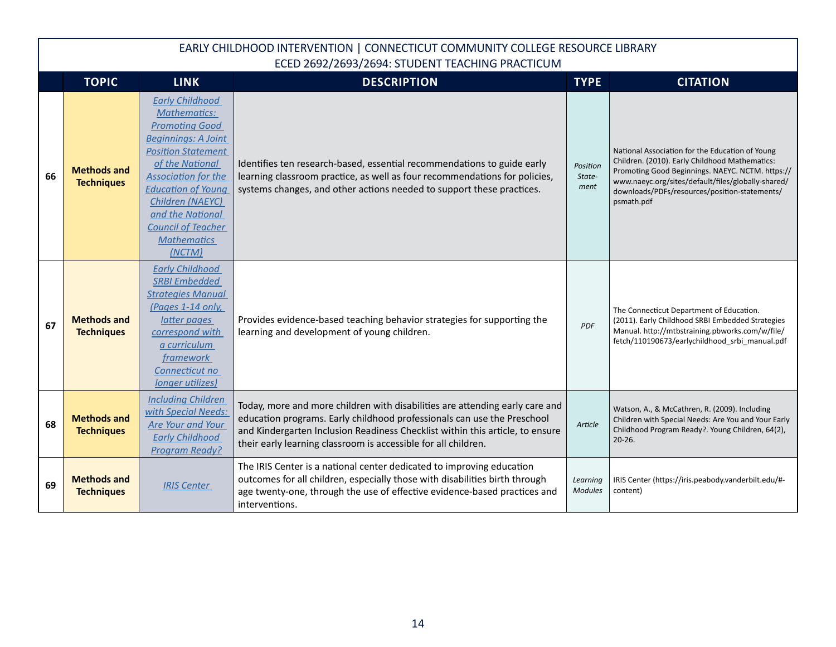|    | <b>TOPIC</b>                            | <b>LINK</b>                                                                                                                                                                                                                                                                                                          | <b>DESCRIPTION</b>                                                                                                                                                                                                                                                                                         | <b>TYPE</b>                | <b>CITATION</b>                                                                                                                                                                                                                                                            |
|----|-----------------------------------------|----------------------------------------------------------------------------------------------------------------------------------------------------------------------------------------------------------------------------------------------------------------------------------------------------------------------|------------------------------------------------------------------------------------------------------------------------------------------------------------------------------------------------------------------------------------------------------------------------------------------------------------|----------------------------|----------------------------------------------------------------------------------------------------------------------------------------------------------------------------------------------------------------------------------------------------------------------------|
| 66 | <b>Methods and</b><br><b>Techniques</b> | <b>Early Childhood</b><br><b>Mathematics:</b><br><b>Promoting Good</b><br><b>Beginnings: A Joint</b><br><b>Position Statement</b><br>of the National<br><b>Association for the</b><br><b>Education of Young</b><br>Children (NAEYC)<br>and the National<br><b>Council of Teacher</b><br><b>Mathematics</b><br>(NCTM) | Identifies ten research-based, essential recommendations to guide early<br>learning classroom practice, as well as four recommendations for policies,<br>systems changes, and other actions needed to support these practices.                                                                             | Position<br>State-<br>ment | National Association for the Education of Young<br>Children. (2010). Early Childhood Mathematics:<br>Promoting Good Beginnings. NAEYC. NCTM. https://<br>www.naeyc.org/sites/default/files/globally-shared/<br>downloads/PDFs/resources/position-statements/<br>psmath.pdf |
| 67 | <b>Methods and</b><br><b>Techniques</b> | <b>Early Childhood</b><br><b>SRBI Embedded</b><br><b>Strategies Manual</b><br>(Pages 1-14 only,<br>latter pages<br>correspond with<br>a curriculum<br>framework<br>Connecticut no<br><i>longer utilizes)</i>                                                                                                         | Provides evidence-based teaching behavior strategies for supporting the<br>learning and development of young children.                                                                                                                                                                                     | <b>PDF</b>                 | The Connecticut Department of Education.<br>(2011). Early Childhood SRBI Embedded Strategies<br>Manual. http://mtbstraining.pbworks.com/w/file/<br>fetch/110190673/earlychildhood srbi manual.pdf                                                                          |
| 68 | <b>Methods and</b><br><b>Techniques</b> | <b>Including Children</b><br>with Special Needs:<br>Are Your and Your<br><b>Early Childhood</b><br><b>Program Ready?</b>                                                                                                                                                                                             | Today, more and more children with disabilities are attending early care and<br>education programs. Early childhood professionals can use the Preschool<br>and Kindergarten Inclusion Readiness Checklist within this article, to ensure<br>their early learning classroom is accessible for all children. | Article                    | Watson, A., & McCathren, R. (2009). Including<br>Children with Special Needs: Are You and Your Early<br>Childhood Program Ready?. Young Children, 64(2),<br>$20 - 26.$                                                                                                     |
| 69 | <b>Methods and</b><br><b>Techniques</b> | <b>IRIS Center</b>                                                                                                                                                                                                                                                                                                   | The IRIS Center is a national center dedicated to improving education<br>outcomes for all children, especially those with disabilities birth through<br>age twenty-one, through the use of effective evidence-based practices and<br>interventions.                                                        | Learning<br><b>Modules</b> | IRIS Center (https://iris.peabody.vanderbilt.edu/#-<br>content)                                                                                                                                                                                                            |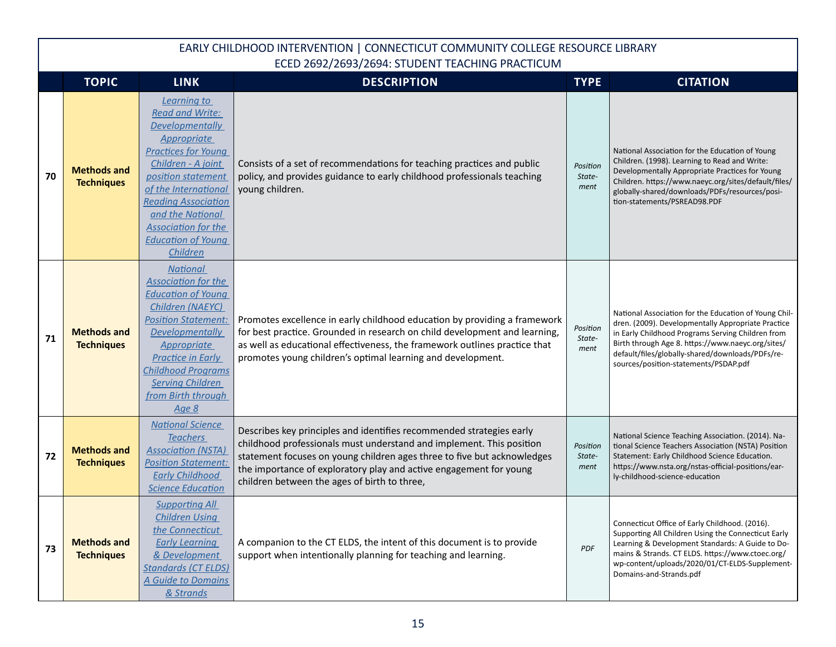|    | <b>TOPIC</b>                            | <b>LINK</b>                                                                                                                                                                                                                                                                                                      | <b>DESCRIPTION</b>                                                                                                                                                                                                                                                                                                                            | <b>TYPE</b>                | <b>CITATION</b>                                                                                                                                                                                                                                                                                                    |
|----|-----------------------------------------|------------------------------------------------------------------------------------------------------------------------------------------------------------------------------------------------------------------------------------------------------------------------------------------------------------------|-----------------------------------------------------------------------------------------------------------------------------------------------------------------------------------------------------------------------------------------------------------------------------------------------------------------------------------------------|----------------------------|--------------------------------------------------------------------------------------------------------------------------------------------------------------------------------------------------------------------------------------------------------------------------------------------------------------------|
| 70 | <b>Methods and</b><br><b>Techniques</b> | Learning to<br><b>Read and Write:</b><br><b>Developmentally</b><br>Appropriate<br><b>Practices for Young</b><br>Children - A joint<br>position statement<br>of the International<br><b>Reading Association</b><br>and the National<br><b>Association for the</b><br><b>Education of Young</b><br><b>Children</b> | Consists of a set of recommendations for teaching practices and public<br>policy, and provides guidance to early childhood professionals teaching<br>young children.                                                                                                                                                                          | Position<br>State-<br>ment | National Association for the Education of Young<br>Children. (1998). Learning to Read and Write:<br>Developmentally Appropriate Practices for Young<br>Children. https://www.naeyc.org/sites/default/files/<br>globally-shared/downloads/PDFs/resources/posi-<br>tion-statements/PSREAD98.PDF                      |
| 71 | <b>Methods and</b><br><b>Techniques</b> | <b>National</b><br><b>Association for the</b><br><b>Education of Young</b><br>Children (NAEYC)<br><b>Position Statement:</b><br><b>Developmentally</b><br>Appropriate<br><b>Practice in Early</b><br><b>Childhood Programs</b><br><b>Serving Children</b><br>from Birth through<br><u>Age 8</u>                  | Promotes excellence in early childhood education by providing a framework<br>for best practice. Grounded in research on child development and learning,<br>as well as educational effectiveness, the framework outlines practice that<br>promotes young children's optimal learning and development.                                          | Position<br>State-<br>ment | National Association for the Education of Young Chil-<br>dren. (2009). Developmentally Appropriate Practice<br>in Early Childhood Programs Serving Children from<br>Birth through Age 8. https://www.naeyc.org/sites/<br>default/files/globally-shared/downloads/PDFs/re-<br>sources/position-statements/PSDAP.pdf |
| 72 | <b>Methods and</b><br><b>Techniques</b> | <b>National Science</b><br><b>Teachers</b><br><b>Association (NSTA)</b><br><b>Position Statement:</b><br><b>Early Childhood</b><br><b>Science Education</b>                                                                                                                                                      | Describes key principles and identifies recommended strategies early<br>childhood professionals must understand and implement. This position<br>statement focuses on young children ages three to five but acknowledges<br>the importance of exploratory play and active engagement for young<br>children between the ages of birth to three, | Position<br>State-<br>ment | National Science Teaching Association. (2014). Na-<br>tional Science Teachers Association (NSTA) Position<br>Statement: Early Childhood Science Education.<br>https://www.nsta.org/nstas-official-positions/ear-<br>ly-childhood-science-education                                                                 |
| 73 | <b>Methods and</b><br><b>Techniques</b> | <b>Supporting All</b><br><b>Children Using</b><br>the Connecticut<br><b>Early Learning</b><br>& Development<br><b>Standards (CT ELDS)</b><br><b>A Guide to Domains</b><br>& Strands                                                                                                                              | A companion to the CT ELDS, the intent of this document is to provide<br>support when intentionally planning for teaching and learning.                                                                                                                                                                                                       | <b>PDF</b>                 | Connecticut Office of Early Childhood. (2016).<br>Supporting All Children Using the Connecticut Early<br>Learning & Development Standards: A Guide to Do-<br>mains & Strands. CT ELDS. https://www.ctoec.org/<br>wp-content/uploads/2020/01/CT-ELDS-Supplement-<br>Domains-and-Strands.pdf                         |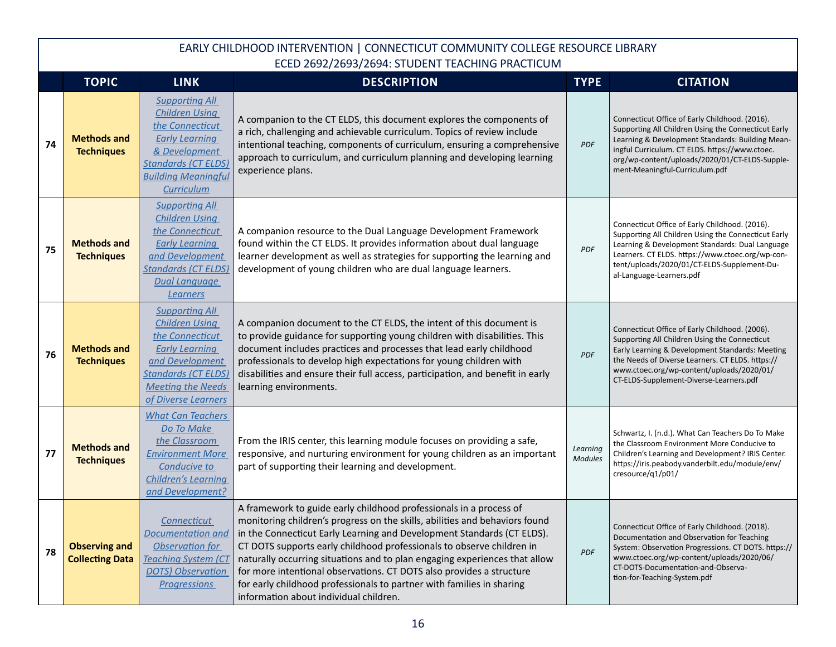|    | <b>TOPIC</b>                                   | <b>LINK</b>                                                                                                                                                                                    | <b>DESCRIPTION</b>                                                                                                                                                                                                                                                                                                                                                                                                                                                                                                                                                            | <b>TYPE</b>                | <b>CITATION</b>                                                                                                                                                                                                                                                                                 |
|----|------------------------------------------------|------------------------------------------------------------------------------------------------------------------------------------------------------------------------------------------------|-------------------------------------------------------------------------------------------------------------------------------------------------------------------------------------------------------------------------------------------------------------------------------------------------------------------------------------------------------------------------------------------------------------------------------------------------------------------------------------------------------------------------------------------------------------------------------|----------------------------|-------------------------------------------------------------------------------------------------------------------------------------------------------------------------------------------------------------------------------------------------------------------------------------------------|
| 74 | <b>Methods and</b><br><b>Techniques</b>        | <b>Supporting All</b><br><b>Children Using</b><br>the Connecticut<br><b>Early Learning</b><br>& Development<br><b>Standards (CT ELDS)</b><br><b>Building Meaningful</b><br>Curriculum          | A companion to the CT ELDS, this document explores the components of<br>a rich, challenging and achievable curriculum. Topics of review include<br>intentional teaching, components of curriculum, ensuring a comprehensive<br>approach to curriculum, and curriculum planning and developing learning<br>experience plans.                                                                                                                                                                                                                                                   | <b>PDF</b>                 | Connecticut Office of Early Childhood. (2016).<br>Supporting All Children Using the Connecticut Early<br>Learning & Development Standards: Building Mean-<br>ingful Curriculum. CT ELDS. https://www.ctoec.<br>org/wp-content/uploads/2020/01/CT-ELDS-Supple-<br>ment-Meaningful-Curriculum.pdf |
| 75 | <b>Methods and</b><br><b>Techniques</b>        | <b>Supporting All</b><br><b>Children Using</b><br>the Connecticut<br><b>Early Learning</b><br>and Development<br><b>Standards (CT ELDS)</b><br>Dual Language<br><b>Learners</b>                | A companion resource to the Dual Language Development Framework<br>found within the CT ELDS. It provides information about dual language<br>learner development as well as strategies for supporting the learning and<br>development of young children who are dual language learners.                                                                                                                                                                                                                                                                                        | PDF                        | Connecticut Office of Early Childhood. (2016).<br>Supporting All Children Using the Connecticut Early<br>Learning & Development Standards: Dual Language<br>Learners. CT ELDS. https://www.ctoec.org/wp-con-<br>tent/uploads/2020/01/CT-ELDS-Supplement-Du-<br>al-Language-Learners.pdf         |
| 76 | <b>Methods and</b><br><b>Techniques</b>        | <b>Supporting All</b><br><b>Children Using</b><br>the Connecticut<br><b>Early Learning</b><br>and Development<br><b>Standards (CT ELDS)</b><br><b>Meeting the Needs</b><br>of Diverse Learners | A companion document to the CT ELDS, the intent of this document is<br>to provide guidance for supporting young children with disabilities. This<br>document includes practices and processes that lead early childhood<br>professionals to develop high expectations for young children with<br>disabilities and ensure their full access, participation, and benefit in early<br>learning environments.                                                                                                                                                                     | <b>PDF</b>                 | Connecticut Office of Early Childhood. (2006).<br>Supporting All Children Using the Connecticut<br>Early Learning & Development Standards: Meeting<br>the Needs of Diverse Learners. CT ELDS. https://<br>www.ctoec.org/wp-content/uploads/2020/01/<br>CT-ELDS-Supplement-Diverse-Learners.pdf  |
| 77 | <b>Methods and</b><br><b>Techniques</b>        | <b>What Can Teachers</b><br>Do To Make<br>the Classroom<br><b>Environment More</b><br>Conducive to<br><b>Children's Learning</b><br>and Development?                                           | From the IRIS center, this learning module focuses on providing a safe,<br>responsive, and nurturing environment for young children as an important<br>part of supporting their learning and development.                                                                                                                                                                                                                                                                                                                                                                     | Learning<br><b>Modules</b> | Schwartz, I. (n.d.). What Can Teachers Do To Make<br>the Classroom Environment More Conducive to<br>Children's Learning and Development? IRIS Center.<br>https://iris.peabody.vanderbilt.edu/module/env/<br>cresource/q1/p01/                                                                   |
| 78 | <b>Observing and</b><br><b>Collecting Data</b> | Connecticut<br><b>Documentation and</b><br>Observation for<br><b>Teaching System (CT</b><br><b>DOTS</b> ) Observation<br><b>Progressions</b>                                                   | A framework to guide early childhood professionals in a process of<br>monitoring children's progress on the skills, abilities and behaviors found<br>in the Connecticut Early Learning and Development Standards (CT ELDS).<br>CT DOTS supports early childhood professionals to observe children in<br>naturally occurring situations and to plan engaging experiences that allow<br>for more intentional observations. CT DOTS also provides a structure<br>for early childhood professionals to partner with families in sharing<br>information about individual children. | <b>PDF</b>                 | Connecticut Office of Early Childhood. (2018).<br>Documentation and Observation for Teaching<br>System: Observation Progressions. CT DOTS. https://<br>www.ctoec.org/wp-content/uploads/2020/06/<br>CT-DOTS-Documentation-and-Observa-<br>tion-for-Teaching-System.pdf                          |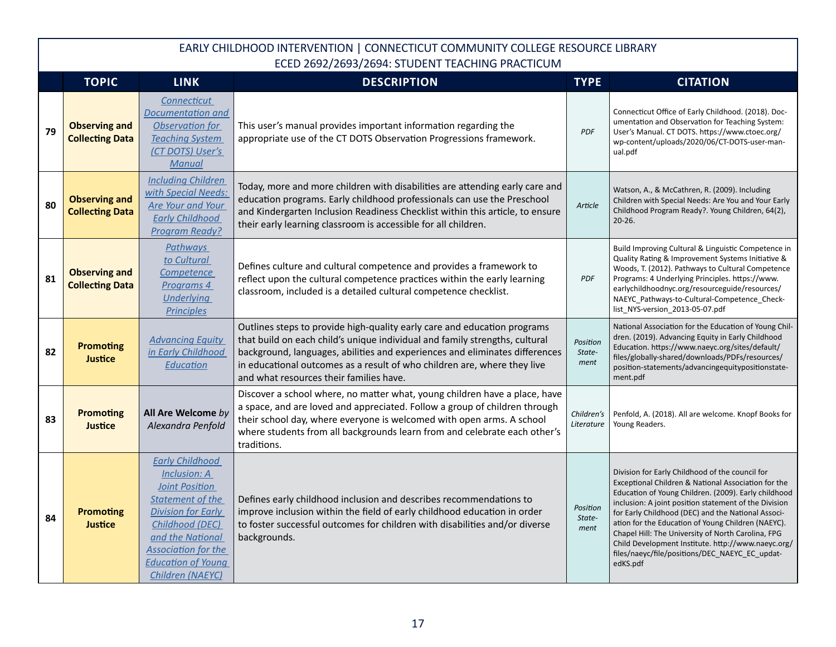|    | <b>TOPIC</b>                                   | <b>LINK</b>                                                                                                                                                                                                                                   | <b>DESCRIPTION</b>                                                                                                                                                                                                                                                                                                                                            | <b>TYPE</b>                | <b>CITATION</b>                                                                                                                                                                                                                                                                                                                                                                                                                                                                                               |
|----|------------------------------------------------|-----------------------------------------------------------------------------------------------------------------------------------------------------------------------------------------------------------------------------------------------|---------------------------------------------------------------------------------------------------------------------------------------------------------------------------------------------------------------------------------------------------------------------------------------------------------------------------------------------------------------|----------------------------|---------------------------------------------------------------------------------------------------------------------------------------------------------------------------------------------------------------------------------------------------------------------------------------------------------------------------------------------------------------------------------------------------------------------------------------------------------------------------------------------------------------|
| 79 | <b>Observing and</b><br><b>Collecting Data</b> | Connecticut<br><b>Documentation and</b><br>Observation for<br><b>Teaching System</b><br>(CT DOTS) User's<br>Manual                                                                                                                            | This user's manual provides important information regarding the<br>appropriate use of the CT DOTS Observation Progressions framework.                                                                                                                                                                                                                         | <b>PDF</b>                 | Connecticut Office of Early Childhood. (2018). Doc-<br>umentation and Observation for Teaching System:<br>User's Manual. CT DOTS. https://www.ctoec.org/<br>wp-content/uploads/2020/06/CT-DOTS-user-man-<br>ual.pdf                                                                                                                                                                                                                                                                                           |
| 80 | <b>Observing and</b><br><b>Collecting Data</b> | <b>Including Children</b><br>with Special Needs:<br>Are Your and Your<br><b>Early Childhood</b><br><b>Program Ready?</b>                                                                                                                      | Today, more and more children with disabilities are attending early care and<br>education programs. Early childhood professionals can use the Preschool<br>and Kindergarten Inclusion Readiness Checklist within this article, to ensure<br>their early learning classroom is accessible for all children.                                                    | Article                    | Watson, A., & McCathren, R. (2009). Including<br>Children with Special Needs: Are You and Your Early<br>Childhood Program Ready?. Young Children, 64(2),<br>$20 - 26$ .                                                                                                                                                                                                                                                                                                                                       |
| 81 | <b>Observing and</b><br><b>Collecting Data</b> | <b>Pathways</b><br>to Cultural<br>Competence<br>Programs 4<br><b>Underlying</b><br><b>Principles</b>                                                                                                                                          | Defines culture and cultural competence and provides a framework to<br>reflect upon the cultural competence practices within the early learning<br>classroom, included is a detailed cultural competence checklist.                                                                                                                                           | PDF                        | Build Improving Cultural & Linguistic Competence in<br>Quality Rating & Improvement Systems Initiative &<br>Woods, T. (2012). Pathways to Cultural Competence<br>Programs: 4 Underlying Principles. https://www.<br>earlychildhoodnyc.org/resourceguide/resources/<br>NAEYC_Pathways-to-Cultural-Competence_Check-<br>list_NYS-version_2013-05-07.pdf                                                                                                                                                         |
| 82 | <b>Promoting</b><br><b>Justice</b>             | <b>Advancing Equity</b><br>in Early Childhood<br>Education                                                                                                                                                                                    | Outlines steps to provide high-quality early care and education programs<br>that build on each child's unique individual and family strengths, cultural<br>background, languages, abilities and experiences and eliminates differences<br>in educational outcomes as a result of who children are, where they live<br>and what resources their families have. | Position<br>State-<br>ment | National Association for the Education of Young Chil-<br>dren. (2019). Advancing Equity in Early Childhood<br>Education. https://www.naeyc.org/sites/default/<br>files/globally-shared/downloads/PDFs/resources/<br>position-statements/advancingequitypositionstate-<br>ment.pdf                                                                                                                                                                                                                             |
| 83 | <b>Promoting</b><br>Justice                    | All Are Welcome by<br>Alexandra Penfold                                                                                                                                                                                                       | Discover a school where, no matter what, young children have a place, have<br>a space, and are loved and appreciated. Follow a group of children through<br>their school day, where everyone is welcomed with open arms. A school<br>where students from all backgrounds learn from and celebrate each other's<br>traditions.                                 | Children's<br>Literature   | Penfold, A. (2018). All are welcome. Knopf Books for<br>Young Readers.                                                                                                                                                                                                                                                                                                                                                                                                                                        |
| 84 | <b>Promoting</b><br><b>Justice</b>             | <b>Early Childhood</b><br>Inclusion: A<br><b>Joint Position</b><br><b>Statement of the</b><br><b>Division for Early</b><br>Childhood (DEC)<br>and the National<br><b>Association for the</b><br><b>Education of Young</b><br>Children (NAEYC) | Defines early childhood inclusion and describes recommendations to<br>improve inclusion within the field of early childhood education in order<br>to foster successful outcomes for children with disabilities and/or diverse<br>backgrounds.                                                                                                                 | Position<br>State-<br>ment | Division for Early Childhood of the council for<br>Exceptional Children & National Association for the<br>Education of Young Children. (2009). Early childhood<br>inclusion: A joint position statement of the Division<br>for Early Childhood (DEC) and the National Associ-<br>ation for the Education of Young Children (NAEYC).<br>Chapel Hill: The University of North Carolina, FPG<br>Child Development Institute. http://www.naeyc.org/<br>files/naeyc/file/positions/DEC_NAEYC_EC_updat-<br>edKS.pdf |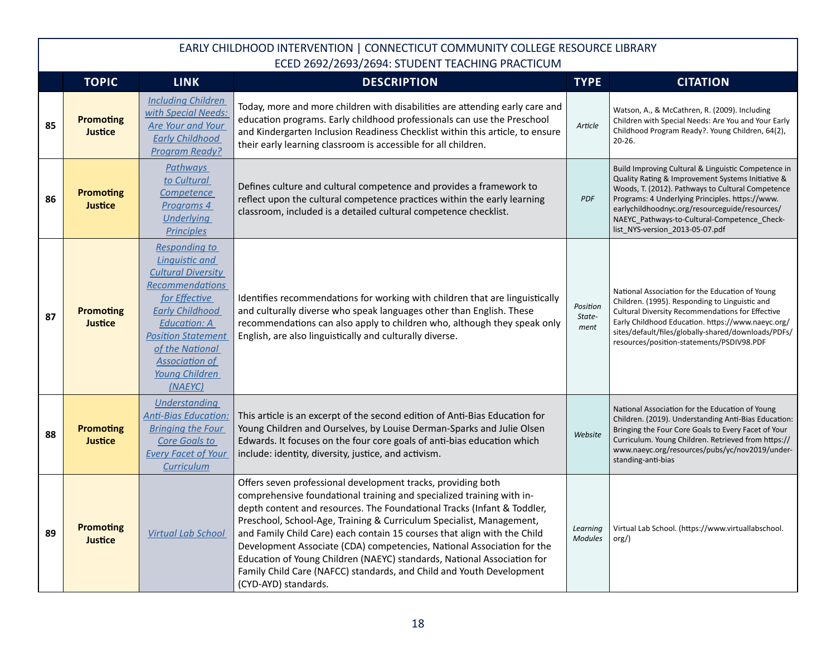|    | <b>TOPIC</b>                       | <b>LINK</b>                                                                                                                                                                                                                                                                  | <b>DESCRIPTION</b>                                                                                                                                                                                                                                                                                                                                                                                                                                                                                                                                                                                                        | <b>TYPE</b>                | <b>CITATION</b>                                                                                                                                                                                                                                                                                                                                       |
|----|------------------------------------|------------------------------------------------------------------------------------------------------------------------------------------------------------------------------------------------------------------------------------------------------------------------------|---------------------------------------------------------------------------------------------------------------------------------------------------------------------------------------------------------------------------------------------------------------------------------------------------------------------------------------------------------------------------------------------------------------------------------------------------------------------------------------------------------------------------------------------------------------------------------------------------------------------------|----------------------------|-------------------------------------------------------------------------------------------------------------------------------------------------------------------------------------------------------------------------------------------------------------------------------------------------------------------------------------------------------|
| 85 | <b>Promoting</b><br><b>Justice</b> | <b>Including Children</b><br>with Special Needs:<br><b>Are Your and Your</b><br><b>Early Childhood</b><br><b>Program Ready?</b>                                                                                                                                              | Today, more and more children with disabilities are attending early care and<br>education programs. Early childhood professionals can use the Preschool<br>and Kindergarten Inclusion Readiness Checklist within this article, to ensure<br>their early learning classroom is accessible for all children.                                                                                                                                                                                                                                                                                                                | Article                    | Watson, A., & McCathren, R. (2009). Including<br>Children with Special Needs: Are You and Your Early<br>Childhood Program Ready?. Young Children, 64(2),<br>$20 - 26.$                                                                                                                                                                                |
| 86 | <b>Promoting</b><br><b>Justice</b> | Pathways<br>to Cultural<br>Competence<br>Programs 4<br>Underlying<br><b>Principles</b>                                                                                                                                                                                       | Defines culture and cultural competence and provides a framework to<br>reflect upon the cultural competence practices within the early learning<br>classroom, included is a detailed cultural competence checklist.                                                                                                                                                                                                                                                                                                                                                                                                       | PDF                        | Build Improving Cultural & Linguistic Competence in<br>Quality Rating & Improvement Systems Initiative &<br>Woods, T. (2012). Pathways to Cultural Competence<br>Programs: 4 Underlying Principles. https://www.<br>earlychildhoodnyc.org/resourceguide/resources/<br>NAEYC_Pathways-to-Cultural-Competence_Check-<br>list_NYS-version_2013-05-07.pdf |
| 87 | <b>Promoting</b><br><b>Justice</b> | <b>Responding to</b><br><b>Linquistic and</b><br><b>Cultural Diversity</b><br><b>Recommendations</b><br>for Effective<br><b>Early Childhood</b><br><b>Education: A</b><br><b>Position Statement</b><br>of the National<br><b>Association of</b><br>Young Children<br>(NAEYC) | Identifies recommendations for working with children that are linguistically<br>and culturally diverse who speak languages other than English. These<br>recommendations can also apply to children who, although they speak only<br>English, are also linguistically and culturally diverse.                                                                                                                                                                                                                                                                                                                              | Position<br>State-<br>ment | National Association for the Education of Young<br>Children. (1995). Responding to Linguistic and<br>Cultural Diversity Recommendations for Effective<br>Early Childhood Education. https://www.naeyc.org/<br>sites/default/files/globally-shared/downloads/PDFs/<br>resources/position-statements/PSDIV98.PDF                                        |
| 88 | <b>Promoting</b><br><b>Justice</b> | <b>Understanding</b><br><b>Anti-Bias Education:</b><br><b>Bringing the Four</b><br>Core Goals to<br><b>Every Facet of Your</b><br>Curriculum                                                                                                                                 | This article is an excerpt of the second edition of Anti-Bias Education for<br>Young Children and Ourselves, by Louise Derman-Sparks and Julie Olsen<br>Edwards. It focuses on the four core goals of anti-bias education which<br>include: identity, diversity, justice, and activism.                                                                                                                                                                                                                                                                                                                                   | Website                    | National Association for the Education of Young<br>Children. (2019). Understanding Anti-Bias Education:<br>Bringing the Four Core Goals to Every Facet of Your<br>Curriculum. Young Children. Retrieved from https://<br>www.naeyc.org/resources/pubs/yc/nov2019/under-<br>standing-anti-bias                                                         |
| 89 | <b>Promoting</b><br><b>Justice</b> | <b>Virtual Lab School</b>                                                                                                                                                                                                                                                    | Offers seven professional development tracks, providing both<br>comprehensive foundational training and specialized training with in-<br>depth content and resources. The Foundational Tracks (Infant & Toddler,<br>Preschool, School-Age, Training & Curriculum Specialist, Management,<br>and Family Child Care) each contain 15 courses that align with the Child<br>Development Associate (CDA) competencies, National Association for the<br>Education of Young Children (NAEYC) standards, National Association for<br>Family Child Care (NAFCC) standards, and Child and Youth Development<br>(CYD-AYD) standards. | Learning<br><b>Modules</b> | Virtual Lab School. (https://www.virtuallabschool.<br>$\text{org/}$                                                                                                                                                                                                                                                                                   |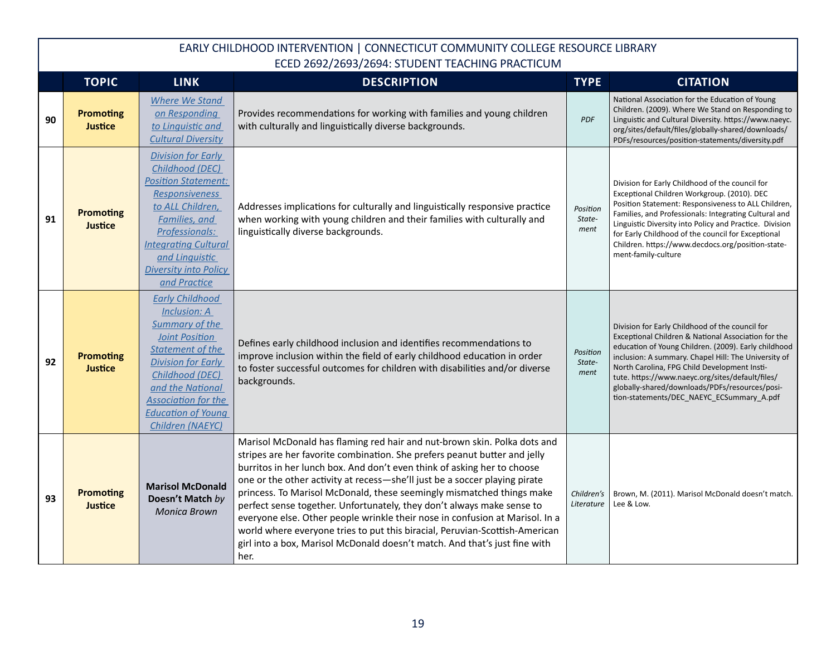|    | <b>TOPIC</b>                       | <b>LINK</b>                                                                                                                                                                                                                                                     | <b>DESCRIPTION</b>                                                                                                                                                                                                                                                                                                                                                                                                                                                                                                                                                                                                                                                                                                     | <b>TYPE</b>                | <b>CITATION</b>                                                                                                                                                                                                                                                                                                                                                                                                           |
|----|------------------------------------|-----------------------------------------------------------------------------------------------------------------------------------------------------------------------------------------------------------------------------------------------------------------|------------------------------------------------------------------------------------------------------------------------------------------------------------------------------------------------------------------------------------------------------------------------------------------------------------------------------------------------------------------------------------------------------------------------------------------------------------------------------------------------------------------------------------------------------------------------------------------------------------------------------------------------------------------------------------------------------------------------|----------------------------|---------------------------------------------------------------------------------------------------------------------------------------------------------------------------------------------------------------------------------------------------------------------------------------------------------------------------------------------------------------------------------------------------------------------------|
| 90 | <b>Promoting</b><br><b>Justice</b> | <b>Where We Stand</b><br>on Responding<br>to Linguistic and<br><b>Cultural Diversity</b>                                                                                                                                                                        | Provides recommendations for working with families and young children<br>with culturally and linguistically diverse backgrounds.                                                                                                                                                                                                                                                                                                                                                                                                                                                                                                                                                                                       | <b>PDF</b>                 | National Association for the Education of Young<br>Children. (2009). Where We Stand on Responding to<br>Linguistic and Cultural Diversity. https://www.naeyc.<br>org/sites/default/files/globally-shared/downloads/<br>PDFs/resources/position-statements/diversity.pdf                                                                                                                                                   |
| 91 | <b>Promoting</b><br><b>Justice</b> | <b>Division for Early</b><br>Childhood (DEC)<br><b>Position Statement:</b><br><b>Responsiveness</b><br>to ALL Children,<br>Families, and<br>Professionals:<br><b>Integrating Cultural</b><br>and Linguistic<br><b>Diversity into Policy</b><br>and Practice     | Addresses implications for culturally and linguistically responsive practice<br>when working with young children and their families with culturally and<br>linguistically diverse backgrounds.                                                                                                                                                                                                                                                                                                                                                                                                                                                                                                                         | Position<br>State-<br>ment | Division for Early Childhood of the council for<br>Exceptional Children Workgroup. (2010). DEC<br>Position Statement: Responsiveness to ALL Children,<br>Families, and Professionals: Integrating Cultural and<br>Linguistic Diversity into Policy and Practice. Division<br>for Early Childhood of the council for Exceptional<br>Children. https://www.decdocs.org/position-state-<br>ment-family-culture               |
| 92 | <b>Promoting</b><br><b>Justice</b> | <b>Early Childhood</b><br>Inclusion: A<br>Summary of the<br><b>Joint Position</b><br><b>Statement of the</b><br><b>Division for Early</b><br>Childhood (DEC)<br>and the National<br><b>Association for the</b><br><b>Education of Young</b><br>Children (NAEYC) | Defines early childhood inclusion and identifies recommendations to<br>improve inclusion within the field of early childhood education in order<br>to foster successful outcomes for children with disabilities and/or diverse<br>backgrounds.                                                                                                                                                                                                                                                                                                                                                                                                                                                                         | Position<br>State-<br>ment | Division for Early Childhood of the council for<br>Exceptional Children & National Association for the<br>education of Young Children. (2009). Early childhood<br>inclusion: A summary. Chapel Hill: The University of<br>North Carolina, FPG Child Development Insti-<br>tute. https://www.naeyc.org/sites/default/files/<br>globally-shared/downloads/PDFs/resources/posi-<br>tion-statements/DEC NAEYC ECSummary A.pdf |
| 93 | <b>Promoting</b><br><b>Justice</b> | <b>Marisol McDonald</b><br>Doesn't Match by<br><b>Monica Brown</b>                                                                                                                                                                                              | Marisol McDonald has flaming red hair and nut-brown skin. Polka dots and<br>stripes are her favorite combination. She prefers peanut butter and jelly<br>burritos in her lunch box. And don't even think of asking her to choose<br>one or the other activity at recess-she'll just be a soccer playing pirate<br>princess. To Marisol McDonald, these seemingly mismatched things make<br>perfect sense together. Unfortunately, they don't always make sense to<br>everyone else. Other people wrinkle their nose in confusion at Marisol. In a<br>world where everyone tries to put this biracial, Peruvian-Scottish-American<br>girl into a box, Marisol McDonald doesn't match. And that's just fine with<br>her. | Children's<br>Literature   | Brown, M. (2011). Marisol McDonald doesn't match.<br>Lee & Low.                                                                                                                                                                                                                                                                                                                                                           |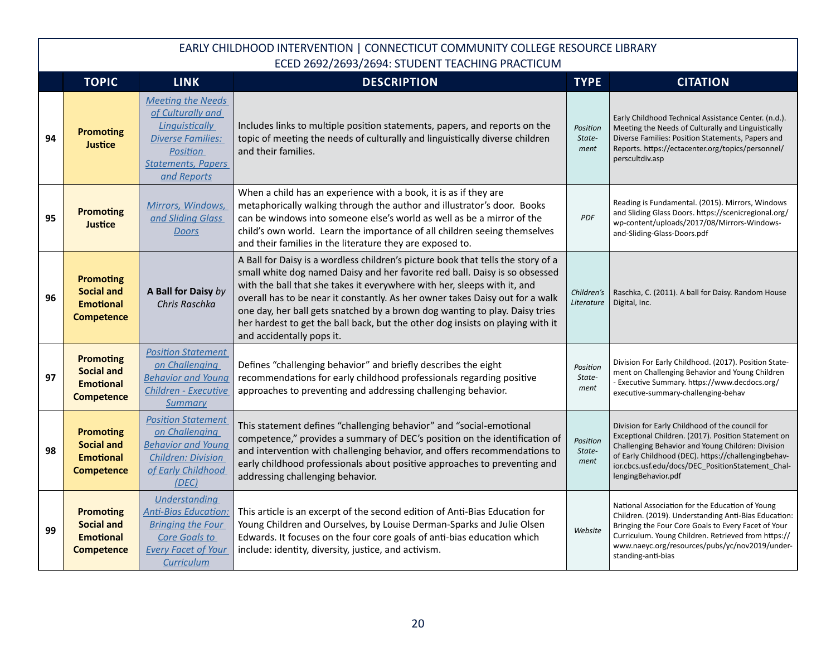|    | <b>TOPIC</b>                                                                   | <b>LINK</b>                                                                                                                                         | <b>DESCRIPTION</b>                                                                                                                                                                                                                                                                                                                                                                                                                                                                                                         | <b>TYPE</b>                | <b>CITATION</b>                                                                                                                                                                                                                                                                                |
|----|--------------------------------------------------------------------------------|-----------------------------------------------------------------------------------------------------------------------------------------------------|----------------------------------------------------------------------------------------------------------------------------------------------------------------------------------------------------------------------------------------------------------------------------------------------------------------------------------------------------------------------------------------------------------------------------------------------------------------------------------------------------------------------------|----------------------------|------------------------------------------------------------------------------------------------------------------------------------------------------------------------------------------------------------------------------------------------------------------------------------------------|
| 94 | <b>Promoting</b><br>Justice                                                    | <b>Meeting the Needs</b><br>of Culturally and<br>Linguistically<br><b>Diverse Families:</b><br>Position<br><b>Statements, Papers</b><br>and Reports | Includes links to multiple position statements, papers, and reports on the<br>topic of meeting the needs of culturally and linguistically diverse children<br>and their families.                                                                                                                                                                                                                                                                                                                                          | Position<br>State-<br>ment | Early Childhood Technical Assistance Center. (n.d.).<br>Meeting the Needs of Culturally and Linguistically<br>Diverse Families: Position Statements, Papers and<br>Reports. https://ectacenter.org/topics/personnel/<br>perscultdiv.asp                                                        |
| 95 | <b>Promoting</b><br>Justice                                                    | Mirrors, Windows,<br>and Sliding Glass<br><b>Doors</b>                                                                                              | When a child has an experience with a book, it is as if they are<br>metaphorically walking through the author and illustrator's door. Books<br>can be windows into someone else's world as well as be a mirror of the<br>child's own world. Learn the importance of all children seeing themselves<br>and their families in the literature they are exposed to.                                                                                                                                                            | <b>PDF</b>                 | Reading is Fundamental. (2015). Mirrors, Windows<br>and Sliding Glass Doors. https://scenicregional.org/<br>wp-content/uploads/2017/08/Mirrors-Windows-<br>and-Sliding-Glass-Doors.pdf                                                                                                         |
| 96 | <b>Promoting</b><br><b>Social and</b><br><b>Emotional</b><br><b>Competence</b> | A Ball for Daisy by<br>Chris Raschka                                                                                                                | A Ball for Daisy is a wordless children's picture book that tells the story of a<br>small white dog named Daisy and her favorite red ball. Daisy is so obsessed<br>with the ball that she takes it everywhere with her, sleeps with it, and<br>overall has to be near it constantly. As her owner takes Daisy out for a walk<br>one day, her ball gets snatched by a brown dog wanting to play. Daisy tries<br>her hardest to get the ball back, but the other dog insists on playing with it<br>and accidentally pops it. | Children's<br>Literature   | Raschka, C. (2011). A ball for Daisy. Random House<br>Digital, Inc.                                                                                                                                                                                                                            |
| 97 | <b>Promoting</b><br><b>Social and</b><br><b>Emotional</b><br><b>Competence</b> | <b>Position Statement</b><br>on Challenging<br><b>Behavior and Young</b><br>Children - Executive<br>Summary                                         | Defines "challenging behavior" and briefly describes the eight<br>recommendations for early childhood professionals regarding positive<br>approaches to preventing and addressing challenging behavior.                                                                                                                                                                                                                                                                                                                    | Position<br>State-<br>ment | Division For Early Childhood. (2017). Position State-<br>ment on Challenging Behavior and Young Children<br>- Executive Summary. https://www.decdocs.org/<br>executive-summary-challenging-behav                                                                                               |
| 98 | <b>Promoting</b><br><b>Social and</b><br><b>Emotional</b><br><b>Competence</b> | <b>Position Statement</b><br>on Challenging<br><b>Behavior and Young</b><br><b>Children: Division</b><br>of Early Childhood<br>(DEC)                | This statement defines "challenging behavior" and "social-emotional<br>competence," provides a summary of DEC's position on the identification of<br>and intervention with challenging behavior, and offers recommendations to<br>early childhood professionals about positive approaches to preventing and<br>addressing challenging behavior.                                                                                                                                                                            | Position<br>State-<br>ment | Division for Early Childhood of the council for<br>Exceptional Children. (2017). Position Statement on<br>Challenging Behavior and Young Children: Division<br>of Early Childhood (DEC). https://challengingbehav-<br>ior.cbcs.usf.edu/docs/DEC PositionStatement Chal-<br>lengingBehavior.pdf |
| 99 | <b>Promoting</b><br><b>Social and</b><br><b>Emotional</b><br><b>Competence</b> | Understanding<br><b>Anti-Bias Education:</b><br><b>Bringing the Four</b><br>Core Goals to<br><b>Every Facet of Your</b><br><b>Curriculum</b>        | This article is an excerpt of the second edition of Anti-Bias Education for<br>Young Children and Ourselves, by Louise Derman-Sparks and Julie Olsen<br>Edwards. It focuses on the four core goals of anti-bias education which<br>include: identity, diversity, justice, and activism.                                                                                                                                                                                                                                    | Website                    | National Association for the Education of Young<br>Children. (2019). Understanding Anti-Bias Education:<br>Bringing the Four Core Goals to Every Facet of Your<br>Curriculum. Young Children. Retrieved from https://<br>www.naeyc.org/resources/pubs/yc/nov2019/under-<br>standing-anti-bias  |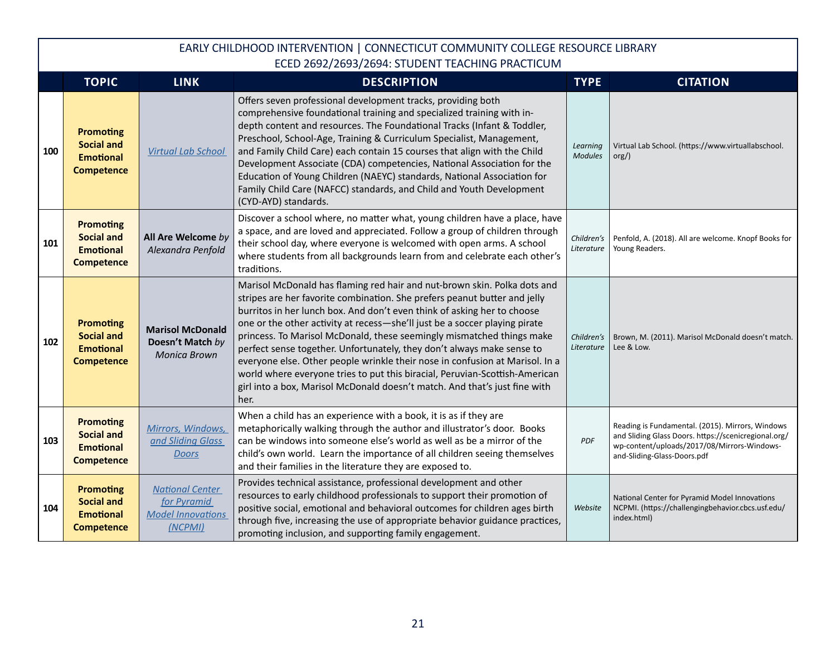|     | <b>TOPIC</b>                                                                   | <b>LINK</b>                                                                  | <b>DESCRIPTION</b>                                                                                                                                                                                                                                                                                                                                                                                                                                                                                                                                                                                                                                                                                                     | <b>TYPE</b>                | <b>CITATION</b>                                                                                                                                                                        |
|-----|--------------------------------------------------------------------------------|------------------------------------------------------------------------------|------------------------------------------------------------------------------------------------------------------------------------------------------------------------------------------------------------------------------------------------------------------------------------------------------------------------------------------------------------------------------------------------------------------------------------------------------------------------------------------------------------------------------------------------------------------------------------------------------------------------------------------------------------------------------------------------------------------------|----------------------------|----------------------------------------------------------------------------------------------------------------------------------------------------------------------------------------|
| 100 | <b>Promoting</b><br><b>Social and</b><br><b>Emotional</b><br><b>Competence</b> | <b>Virtual Lab School</b>                                                    | Offers seven professional development tracks, providing both<br>comprehensive foundational training and specialized training with in-<br>depth content and resources. The Foundational Tracks (Infant & Toddler,<br>Preschool, School-Age, Training & Curriculum Specialist, Management,<br>and Family Child Care) each contain 15 courses that align with the Child<br>Development Associate (CDA) competencies, National Association for the<br>Education of Young Children (NAEYC) standards, National Association for<br>Family Child Care (NAFCC) standards, and Child and Youth Development<br>(CYD-AYD) standards.                                                                                              | Learning<br><b>Modules</b> | Virtual Lab School. (https://www.virtuallabschool.<br>org()                                                                                                                            |
| 101 | <b>Promoting</b><br><b>Social and</b><br><b>Emotional</b><br><b>Competence</b> | All Are Welcome by<br>Alexandra Penfold                                      | Discover a school where, no matter what, young children have a place, have<br>a space, and are loved and appreciated. Follow a group of children through<br>their school day, where everyone is welcomed with open arms. A school<br>where students from all backgrounds learn from and celebrate each other's<br>traditions.                                                                                                                                                                                                                                                                                                                                                                                          | Children's<br>Literature   | Penfold, A. (2018). All are welcome. Knopf Books for<br>Young Readers.                                                                                                                 |
| 102 | <b>Promoting</b><br><b>Social and</b><br><b>Emotional</b><br><b>Competence</b> | <b>Marisol McDonald</b><br>Doesn't Match by<br><b>Monica Brown</b>           | Marisol McDonald has flaming red hair and nut-brown skin. Polka dots and<br>stripes are her favorite combination. She prefers peanut butter and jelly<br>burritos in her lunch box. And don't even think of asking her to choose<br>one or the other activity at recess-she'll just be a soccer playing pirate<br>princess. To Marisol McDonald, these seemingly mismatched things make<br>perfect sense together. Unfortunately, they don't always make sense to<br>everyone else. Other people wrinkle their nose in confusion at Marisol. In a<br>world where everyone tries to put this biracial, Peruvian-Scottish-American<br>girl into a box, Marisol McDonald doesn't match. And that's just fine with<br>her. | Children's<br>Literature   | Brown, M. (2011). Marisol McDonald doesn't match.<br>Lee & Low.                                                                                                                        |
| 103 | <b>Promoting</b><br><b>Social and</b><br><b>Emotional</b><br><b>Competence</b> | Mirrors, Windows,<br>and Sliding Glass<br><b>Doors</b>                       | When a child has an experience with a book, it is as if they are<br>metaphorically walking through the author and illustrator's door. Books<br>can be windows into someone else's world as well as be a mirror of the<br>child's own world. Learn the importance of all children seeing themselves<br>and their families in the literature they are exposed to.                                                                                                                                                                                                                                                                                                                                                        | <b>PDF</b>                 | Reading is Fundamental. (2015). Mirrors, Windows<br>and Sliding Glass Doors. https://scenicregional.org/<br>wp-content/uploads/2017/08/Mirrors-Windows-<br>and-Sliding-Glass-Doors.pdf |
| 104 | <b>Promoting</b><br><b>Social and</b><br><b>Emotional</b><br><b>Competence</b> | <b>National Center</b><br>for Pyramid<br><b>Model Innovations</b><br>(NCPMI) | Provides technical assistance, professional development and other<br>resources to early childhood professionals to support their promotion of<br>positive social, emotional and behavioral outcomes for children ages birth<br>through five, increasing the use of appropriate behavior guidance practices,<br>promoting inclusion, and supporting family engagement.                                                                                                                                                                                                                                                                                                                                                  | Website                    | National Center for Pyramid Model Innovations<br>NCPMI. (https://challengingbehavior.cbcs.usf.edu/<br>index.html)                                                                      |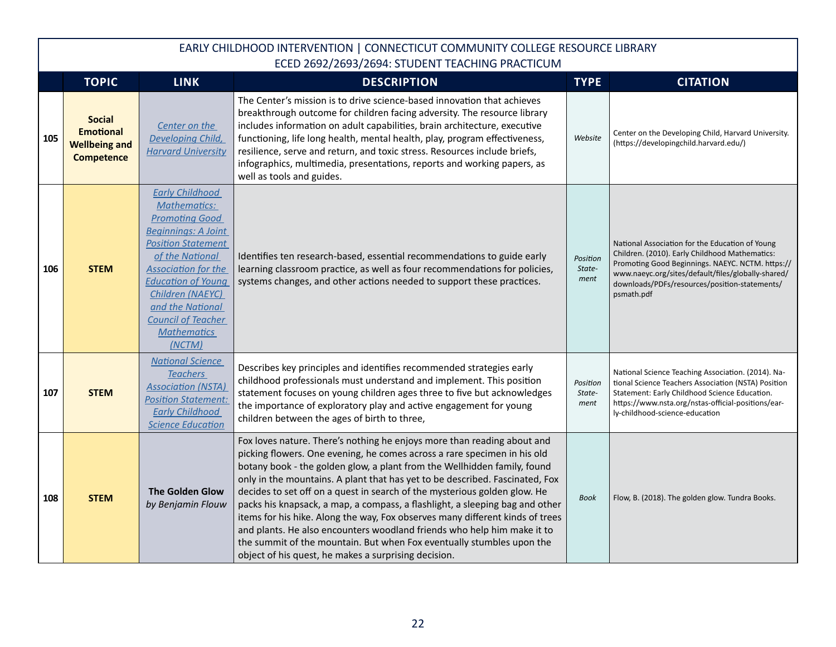|     | <b>TOPIC</b>                                                                   | <b>LINK</b>                                                                                                                                                                                                                                                                                                          | <b>DESCRIPTION</b>                                                                                                                                                                                                                                                                                                                                                                                                                                                                                                                                                                                                                                                                                                                                                        | <b>TYPE</b>                | <b>CITATION</b>                                                                                                                                                                                                                                                            |
|-----|--------------------------------------------------------------------------------|----------------------------------------------------------------------------------------------------------------------------------------------------------------------------------------------------------------------------------------------------------------------------------------------------------------------|---------------------------------------------------------------------------------------------------------------------------------------------------------------------------------------------------------------------------------------------------------------------------------------------------------------------------------------------------------------------------------------------------------------------------------------------------------------------------------------------------------------------------------------------------------------------------------------------------------------------------------------------------------------------------------------------------------------------------------------------------------------------------|----------------------------|----------------------------------------------------------------------------------------------------------------------------------------------------------------------------------------------------------------------------------------------------------------------------|
| 105 | <b>Social</b><br><b>Emotional</b><br><b>Wellbeing and</b><br><b>Competence</b> | Center on the<br>Developing Child,<br><b>Harvard University</b>                                                                                                                                                                                                                                                      | The Center's mission is to drive science-based innovation that achieves<br>breakthrough outcome for children facing adversity. The resource library<br>includes information on adult capabilities, brain architecture, executive<br>functioning, life long health, mental health, play, program effectiveness,<br>resilience, serve and return, and toxic stress. Resources include briefs,<br>infographics, multimedia, presentations, reports and working papers, as<br>well as tools and guides.                                                                                                                                                                                                                                                                       | Website                    | Center on the Developing Child, Harvard University.<br>(https://developingchild.harvard.edu/)                                                                                                                                                                              |
| 106 | <b>STEM</b>                                                                    | <b>Early Childhood</b><br><b>Mathematics:</b><br><b>Promoting Good</b><br><b>Beginnings: A Joint</b><br><b>Position Statement</b><br>of the National<br><b>Association for the</b><br><b>Education of Young</b><br>Children (NAEYC)<br>and the National<br><b>Council of Teacher</b><br><b>Mathematics</b><br>(NCTM) | Identifies ten research-based, essential recommendations to guide early<br>learning classroom practice, as well as four recommendations for policies,<br>systems changes, and other actions needed to support these practices.                                                                                                                                                                                                                                                                                                                                                                                                                                                                                                                                            | Position<br>State-<br>ment | National Association for the Education of Young<br>Children. (2010). Early Childhood Mathematics:<br>Promoting Good Beginnings. NAEYC. NCTM. https://<br>www.naeyc.org/sites/default/files/globally-shared/<br>downloads/PDFs/resources/position-statements/<br>psmath.pdf |
| 107 | <b>STEM</b>                                                                    | <b>National Science</b><br><b>Teachers</b><br><b>Association (NSTA)</b><br><b>Position Statement:</b><br><b>Early Childhood</b><br><b>Science Education</b>                                                                                                                                                          | Describes key principles and identifies recommended strategies early<br>childhood professionals must understand and implement. This position<br>statement focuses on young children ages three to five but acknowledges<br>the importance of exploratory play and active engagement for young<br>children between the ages of birth to three,                                                                                                                                                                                                                                                                                                                                                                                                                             | Position<br>State-<br>ment | National Science Teaching Association. (2014). Na-<br>tional Science Teachers Association (NSTA) Position<br>Statement: Early Childhood Science Education.<br>https://www.nsta.org/nstas-official-positions/ear-<br>ly-childhood-science-education                         |
| 108 | <b>STEM</b>                                                                    | <b>The Golden Glow</b><br>by Benjamin Flouw                                                                                                                                                                                                                                                                          | Fox loves nature. There's nothing he enjoys more than reading about and<br>picking flowers. One evening, he comes across a rare specimen in his old<br>botany book - the golden glow, a plant from the Wellhidden family, found<br>only in the mountains. A plant that has yet to be described. Fascinated, Fox<br>decides to set off on a quest in search of the mysterious golden glow. He<br>packs his knapsack, a map, a compass, a flashlight, a sleeping bag and other<br>items for his hike. Along the way, Fox observes many different kinds of trees<br>and plants. He also encounters woodland friends who help him make it to<br>the summit of the mountain. But when Fox eventually stumbles upon the<br>object of his quest, he makes a surprising decision. | <b>Book</b>                | Flow, B. (2018). The golden glow. Tundra Books.                                                                                                                                                                                                                            |